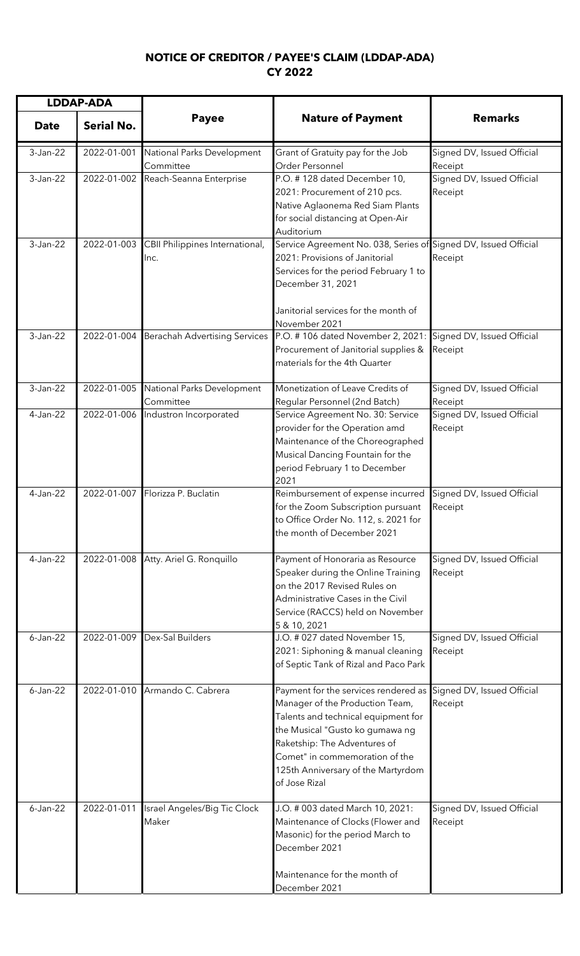## **NOTICE OF CREDITOR / PAYEE'S CLAIM (LDDAP-ADA) CY 2022**

| <b>LDDAP-ADA</b> |                   |                                         |                                                                                                                                                                                                                                                                            |                                       |
|------------------|-------------------|-----------------------------------------|----------------------------------------------------------------------------------------------------------------------------------------------------------------------------------------------------------------------------------------------------------------------------|---------------------------------------|
| <b>Date</b>      | <b>Serial No.</b> | <b>Payee</b>                            | <b>Nature of Payment</b>                                                                                                                                                                                                                                                   | <b>Remarks</b>                        |
| 3-Jan-22         | 2022-01-001       | National Parks Development<br>Committee | Grant of Gratuity pay for the Job<br>Order Personnel                                                                                                                                                                                                                       | Signed DV, Issued Official<br>Receipt |
| 3-Jan-22         | 2022-01-002       | Reach-Seanna Enterprise                 | P.O. #128 dated December 10,<br>2021: Procurement of 210 pcs.<br>Native Aglaonema Red Siam Plants<br>for social distancing at Open-Air<br>Auditorium                                                                                                                       | Signed DV, Issued Official<br>Receipt |
| 3-Jan-22         | 2022-01-003       | CBII Philippines International,<br>Inc. | Service Agreement No. 038, Series of Signed DV, Issued Official<br>2021: Provisions of Janitorial<br>Services for the period February 1 to<br>December 31, 2021<br>Janitorial services for the month of<br>November 2021                                                   | Receipt                               |
| 3-Jan-22         | 2022-01-004       | <b>Berachah Advertising Services</b>    | P.O. #106 dated November 2, 2021:<br>Procurement of Janitorial supplies &<br>materials for the 4th Quarter                                                                                                                                                                 | Signed DV, Issued Official<br>Receipt |
| 3-Jan-22         | 2022-01-005       | National Parks Development<br>Committee | Monetization of Leave Credits of<br>Regular Personnel (2nd Batch)                                                                                                                                                                                                          | Signed DV, Issued Official<br>Receipt |
| 4-Jan-22         | 2022-01-006       | Industron Incorporated                  | Service Agreement No. 30: Service<br>provider for the Operation amd<br>Maintenance of the Choreographed<br>Musical Dancing Fountain for the<br>period February 1 to December<br>2021                                                                                       | Signed DV, Issued Official<br>Receipt |
| 4-Jan-22         | 2022-01-007       | Florizza P. Buclatin                    | Reimbursement of expense incurred<br>for the Zoom Subscription pursuant<br>to Office Order No. 112, s. 2021 for<br>the month of December 2021                                                                                                                              | Signed DV, Issued Official<br>Receipt |
| 4-Jan-22         | 2022-01-008       | Atty. Ariel G. Ronquillo                | Payment of Honoraria as Resource<br>Speaker during the Online Training<br>on the 2017 Revised Rules on<br>Administrative Cases in the Civil<br>Service (RACCS) held on November<br>5 & 10, 2021                                                                            | Signed DV, Issued Official<br>Receipt |
| $6$ -Jan-22      | 2022-01-009       | Dex-Sal Builders                        | J.O. # 027 dated November 15,<br>2021: Siphoning & manual cleaning<br>of Septic Tank of Rizal and Paco Park                                                                                                                                                                | Signed DV, Issued Official<br>Receipt |
| $6$ -Jan-22      |                   | 2022-01-010 Armando C. Cabrera          | Payment for the services rendered as<br>Manager of the Production Team,<br>Talents and technical equipment for<br>the Musical "Gusto ko gumawa ng<br>Raketship: The Adventures of<br>Comet" in commemoration of the<br>125th Anniversary of the Martyrdom<br>of Jose Rizal | Signed DV, Issued Official<br>Receipt |
| $6 - Jan-22$     | 2022-01-011       | Israel Angeles/Big Tic Clock<br>Maker   | J.O. # 003 dated March 10, 2021:<br>Maintenance of Clocks (Flower and<br>Masonic) for the period March to<br>December 2021<br>Maintenance for the month of<br>December 2021                                                                                                | Signed DV, Issued Official<br>Receipt |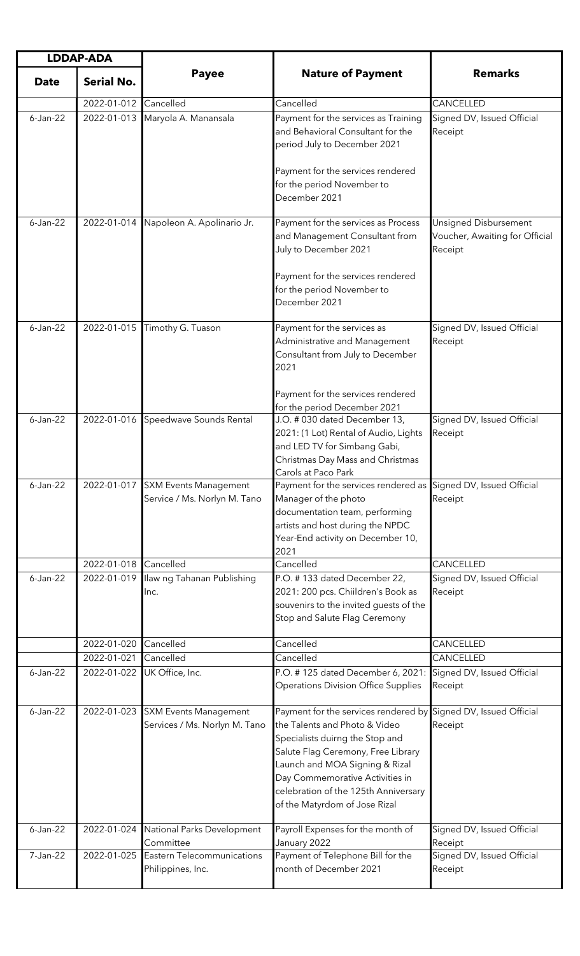| <b>LDDAP-ADA</b> |                   |                                                                   |                                                                                                                                                                                                                                                                                              |                                                                           |
|------------------|-------------------|-------------------------------------------------------------------|----------------------------------------------------------------------------------------------------------------------------------------------------------------------------------------------------------------------------------------------------------------------------------------------|---------------------------------------------------------------------------|
| <b>Date</b>      | <b>Serial No.</b> | <b>Payee</b>                                                      | <b>Nature of Payment</b>                                                                                                                                                                                                                                                                     | <b>Remarks</b>                                                            |
|                  | 2022-01-012       | Cancelled                                                         | Cancelled                                                                                                                                                                                                                                                                                    | CANCELLED                                                                 |
| $6 - Jan-22$     | 2022-01-013       | Maryola A. Manansala                                              | Payment for the services as Training<br>and Behavioral Consultant for the<br>period July to December 2021                                                                                                                                                                                    | Signed DV, Issued Official<br>Receipt                                     |
|                  |                   |                                                                   | Payment for the services rendered<br>for the period November to<br>December 2021                                                                                                                                                                                                             |                                                                           |
| $6 - Jan-22$     | 2022-01-014       | Napoleon A. Apolinario Jr.                                        | Payment for the services as Process<br>and Management Consultant from<br>July to December 2021                                                                                                                                                                                               | <b>Unsigned Disbursement</b><br>Voucher, Awaiting for Official<br>Receipt |
|                  |                   |                                                                   | Payment for the services rendered<br>for the period November to<br>December 2021                                                                                                                                                                                                             |                                                                           |
| $6$ -Jan-22      | 2022-01-015       | Timothy G. Tuason                                                 | Payment for the services as<br>Administrative and Management<br>Consultant from July to December<br>2021                                                                                                                                                                                     | Signed DV, Issued Official<br>Receipt                                     |
|                  |                   |                                                                   | Payment for the services rendered<br>for the period December 2021                                                                                                                                                                                                                            |                                                                           |
| $6 - Jan-22$     | 2022-01-016       | Speedwave Sounds Rental                                           | J.O. # 030 dated December 13,<br>2021: (1 Lot) Rental of Audio, Lights<br>and LED TV for Simbang Gabi,<br>Christmas Day Mass and Christmas<br>Carols at Paco Park                                                                                                                            | Signed DV, Issued Official<br>Receipt                                     |
| $6$ -Jan-22      |                   | 2022-01-017 SXM Events Management<br>Service / Ms. Norlyn M. Tano | Payment for the services rendered as Signed DV, Issued Official<br>Manager of the photo<br>documentation team, performing<br>artists and host during the NPDC<br>Year-End activity on December 10,<br>2021                                                                                   | Receipt                                                                   |
|                  | 2022-01-018       | Cancelled                                                         | Cancelled                                                                                                                                                                                                                                                                                    | CANCELLED                                                                 |
| $6 - Jan-22$     | 2022-01-019       | Ilaw ng Tahanan Publishing<br>Inc.                                | P.O. #133 dated December 22,<br>2021: 200 pcs. Chiildren's Book as<br>souvenirs to the invited guests of the<br>Stop and Salute Flag Ceremony                                                                                                                                                | Signed DV, Issued Official<br>Receipt                                     |
|                  | 2022-01-020       | Cancelled                                                         | Cancelled                                                                                                                                                                                                                                                                                    | CANCELLED                                                                 |
|                  | 2022-01-021       | Cancelled                                                         | Cancelled                                                                                                                                                                                                                                                                                    | CANCELLED                                                                 |
| $6$ -Jan-22      | 2022-01-022       | UK Office, Inc.                                                   | P.O. #125 dated December 6, 2021:<br><b>Operations Division Office Supplies</b>                                                                                                                                                                                                              | Signed DV, Issued Official<br>Receipt                                     |
| $6 - Jan-22$     | 2022-01-023       | <b>SXM Events Management</b><br>Services / Ms. Norlyn M. Tano     | Payment for the services rendered by<br>the Talents and Photo & Video<br>Specialists duirng the Stop and<br>Salute Flag Ceremony, Free Library<br>Launch and MOA Signing & Rizal<br>Day Commemorative Activities in<br>celebration of the 125th Anniversary<br>of the Matyrdom of Jose Rizal | Signed DV, Issued Official<br>Receipt                                     |
| $6 - Jan-22$     | 2022-01-024       | National Parks Development<br>Committee                           | Payroll Expenses for the month of<br>January 2022                                                                                                                                                                                                                                            | Signed DV, Issued Official<br>Receipt                                     |
| 7-Jan-22         | 2022-01-025       | Eastern Telecommunications<br>Philippines, Inc.                   | Payment of Telephone Bill for the<br>month of December 2021                                                                                                                                                                                                                                  | Signed DV, Issued Official<br>Receipt                                     |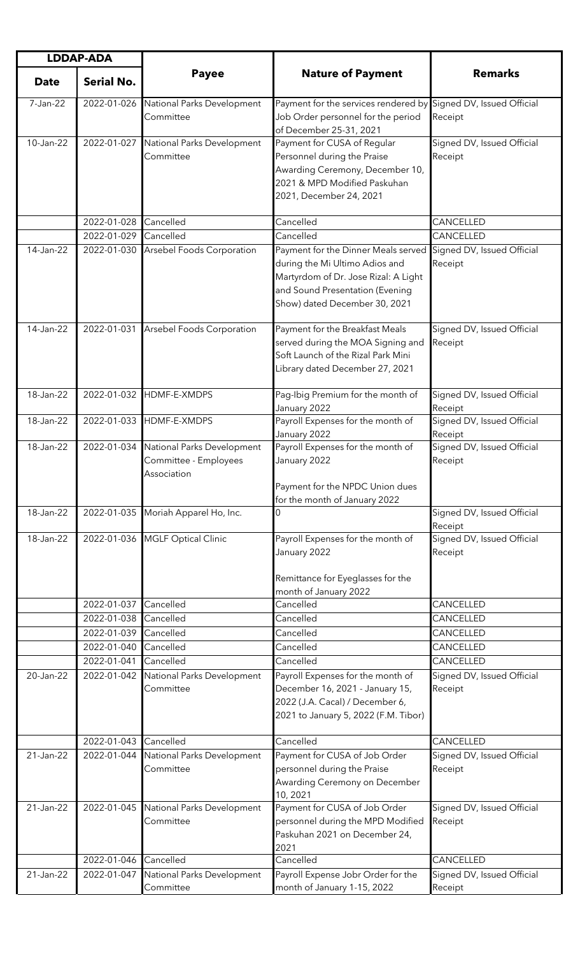| <b>LDDAP-ADA</b> |                   |                                                                    |                                                                                                                                                                                   |                                       |
|------------------|-------------------|--------------------------------------------------------------------|-----------------------------------------------------------------------------------------------------------------------------------------------------------------------------------|---------------------------------------|
| <b>Date</b>      | <b>Serial No.</b> | <b>Payee</b>                                                       | <b>Nature of Payment</b>                                                                                                                                                          | <b>Remarks</b>                        |
| 7-Jan-22         | 2022-01-026       | National Parks Development<br>Committee                            | Payment for the services rendered by Signed DV, Issued Official<br>Job Order personnel for the period<br>of December 25-31, 2021                                                  | Receipt                               |
| 10-Jan-22        | 2022-01-027       | National Parks Development<br>Committee                            | Payment for CUSA of Regular<br>Personnel during the Praise<br>Awarding Ceremony, December 10,<br>2021 & MPD Modified Paskuhan<br>2021, December 24, 2021                          | Signed DV, Issued Official<br>Receipt |
|                  | 2022-01-028       | Cancelled                                                          | Cancelled                                                                                                                                                                         | CANCELLED                             |
|                  | 2022-01-029       | Cancelled                                                          | Cancelled                                                                                                                                                                         | CANCELLED                             |
| 14-Jan-22        | 2022-01-030       | Arsebel Foods Corporation                                          | Payment for the Dinner Meals served<br>during the Mi Ultimo Adios and<br>Martyrdom of Dr. Jose Rizal: A Light<br>and Sound Presentation (Evening<br>Show) dated December 30, 2021 | Signed DV, Issued Official<br>Receipt |
| 14-Jan-22        | 2022-01-031       | Arsebel Foods Corporation                                          | Payment for the Breakfast Meals<br>served during the MOA Signing and<br>Soft Launch of the Rizal Park Mini<br>Library dated December 27, 2021                                     | Signed DV, Issued Official<br>Receipt |
| 18-Jan-22        | 2022-01-032       | HDMF-E-XMDPS                                                       | Pag-Ibig Premium for the month of<br>January 2022                                                                                                                                 | Signed DV, Issued Official<br>Receipt |
| 18-Jan-22        |                   | 2022-01-033 HDMF-E-XMDPS                                           | Payroll Expenses for the month of<br>January 2022                                                                                                                                 | Signed DV, Issued Official<br>Receipt |
| 18-Jan-22        | 2022-01-034       | National Parks Development<br>Committee - Employees<br>Association | Payroll Expenses for the month of<br>January 2022<br>Payment for the NPDC Union dues<br>for the month of January 2022                                                             | Signed DV, Issued Official<br>Receipt |
| 18-Jan-22        | 2022-01-035       | Moriah Apparel Ho, Inc.                                            | $\Omega$                                                                                                                                                                          | Signed DV, Issued Official<br>Receipt |
| 18-Jan-22        |                   | 2022-01-036 MGLF Optical Clinic                                    | Payroll Expenses for the month of<br>January 2022<br>Remittance for Eyeglasses for the<br>month of January 2022                                                                   | Signed DV, Issued Official<br>Receipt |
|                  | 2022-01-037       | Cancelled                                                          | Cancelled                                                                                                                                                                         | CANCELLED                             |
|                  | 2022-01-038       | Cancelled                                                          | Cancelled                                                                                                                                                                         | CANCELLED                             |
|                  | 2022-01-039       | Cancelled                                                          | Cancelled                                                                                                                                                                         | CANCELLED                             |
|                  | 2022-01-040       | Cancelled                                                          | Cancelled                                                                                                                                                                         | CANCELLED                             |
|                  | 2022-01-041       | Cancelled                                                          | Cancelled                                                                                                                                                                         | CANCELLED                             |
| 20-Jan-22        | 2022-01-042       | National Parks Development<br>Committee                            | Payroll Expenses for the month of<br>December 16, 2021 - January 15,<br>2022 (J.A. Cacal) / December 6,<br>2021 to January 5, 2022 (F.M. Tibor)                                   | Signed DV, Issued Official<br>Receipt |
|                  | 2022-01-043       | Cancelled                                                          | Cancelled                                                                                                                                                                         | CANCELLED                             |
| 21-Jan-22        | 2022-01-044       | National Parks Development<br>Committee                            | Payment for CUSA of Job Order<br>personnel during the Praise<br>Awarding Ceremony on December<br>10, 2021                                                                         | Signed DV, Issued Official<br>Receipt |
| 21-Jan-22        | 2022-01-045       | National Parks Development<br>Committee                            | Payment for CUSA of Job Order<br>personnel during the MPD Modified<br>Paskuhan 2021 on December 24,<br>2021                                                                       | Signed DV, Issued Official<br>Receipt |
|                  | 2022-01-046       | Cancelled                                                          | Cancelled                                                                                                                                                                         | CANCELLED                             |
| 21-Jan-22        | 2022-01-047       | National Parks Development<br>Committee                            | Payroll Expense Jobr Order for the<br>month of January 1-15, 2022                                                                                                                 | Signed DV, Issued Official<br>Receipt |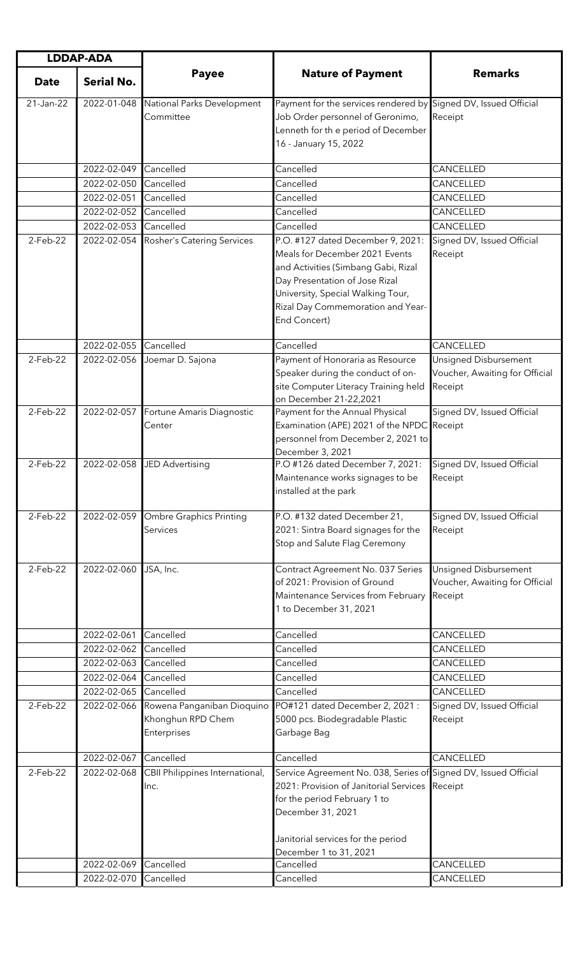| <b>LDDAP-ADA</b> |                   |                                                                |                                                                                                                                                                                                                                        |                                                                    |
|------------------|-------------------|----------------------------------------------------------------|----------------------------------------------------------------------------------------------------------------------------------------------------------------------------------------------------------------------------------------|--------------------------------------------------------------------|
| <b>Date</b>      | <b>Serial No.</b> | <b>Payee</b>                                                   | <b>Nature of Payment</b>                                                                                                                                                                                                               | <b>Remarks</b>                                                     |
| 21-Jan-22        | 2022-01-048       | National Parks Development<br>Committee                        | Payment for the services rendered by<br>Job Order personnel of Geronimo,<br>Lenneth for th e period of December<br>16 - January 15, 2022                                                                                               | Signed DV, Issued Official<br>Receipt                              |
|                  | 2022-02-049       | Cancelled                                                      | Cancelled                                                                                                                                                                                                                              | CANCELLED                                                          |
|                  | 2022-02-050       | Cancelled                                                      | Cancelled                                                                                                                                                                                                                              | CANCELLED                                                          |
|                  | 2022-02-051       | Cancelled                                                      | Cancelled                                                                                                                                                                                                                              | CANCELLED                                                          |
|                  | 2022-02-052       | Cancelled                                                      | Cancelled                                                                                                                                                                                                                              | CANCELLED                                                          |
|                  | 2022-02-053       | Cancelled                                                      | Cancelled                                                                                                                                                                                                                              | CANCELLED                                                          |
| 2-Feb-22         | 2022-02-054       | Rosher's Catering Services                                     | P.O. #127 dated December 9, 2021:<br>Meals for December 2021 Events<br>and Activities (Simbang Gabi, Rizal<br>Day Presentation of Jose Rizal<br>University, Special Walking Tour,<br>Rizal Day Commemoration and Year-<br>End Concert) | Signed DV, Issued Official<br>Receipt                              |
|                  | 2022-02-055       | Cancelled                                                      | Cancelled                                                                                                                                                                                                                              | CANCELLED                                                          |
| 2-Feb-22         | 2022-02-056       | Joemar D. Sajona                                               | Payment of Honoraria as Resource<br>Speaker during the conduct of on-<br>site Computer Literacy Training held<br>on December 21-22,2021                                                                                                | Unsigned Disbursement<br>Voucher, Awaiting for Official<br>Receipt |
| 2-Feb-22         | 2022-02-057       | Fortune Amaris Diagnostic<br>Center                            | Payment for the Annual Physical<br>Examination (APE) 2021 of the NPDC<br>personnel from December 2, 2021 to<br>December 3, 2021                                                                                                        | Signed DV, Issued Official<br>Receipt                              |
| $2$ -Feb-22      | 2022-02-058       | <b>JED Advertising</b>                                         | P.O #126 dated December 7, 2021:<br>Maintenance works signages to be<br>installed at the park                                                                                                                                          | Signed DV, Issued Official<br>Receipt                              |
| 2-Feb-22         | 2022-02-059       | <b>Ombre Graphics Printing</b><br>Services                     | P.O. #132 dated December 21,<br>2021: Sintra Board signages for the<br>Stop and Salute Flag Ceremony                                                                                                                                   | Signed DV, Issued Official<br>Receipt                              |
| 2-Feb-22         | 2022-02-060       | JSA, Inc.                                                      | Contract Agreement No. 037 Series<br>of 2021: Provision of Ground<br>Maintenance Services from February<br>1 to December 31, 2021                                                                                                      | Unsigned Disbursement<br>Voucher, Awaiting for Official<br>Receipt |
|                  | 2022-02-061       | Cancelled                                                      | Cancelled                                                                                                                                                                                                                              | CANCELLED                                                          |
|                  | 2022-02-062       | Cancelled                                                      | Cancelled                                                                                                                                                                                                                              | CANCELLED                                                          |
|                  | 2022-02-063       | Cancelled                                                      | Cancelled                                                                                                                                                                                                                              | CANCELLED                                                          |
|                  | 2022-02-064       | Cancelled                                                      | Cancelled                                                                                                                                                                                                                              | CANCELLED                                                          |
|                  | 2022-02-065       | Cancelled                                                      | Cancelled                                                                                                                                                                                                                              | CANCELLED                                                          |
| $2$ -Feb-22      | 2022-02-066       | Rowena Panganiban Dioquino<br>Khonghun RPD Chem<br>Enterprises | PO#121 dated December 2, 2021 :<br>5000 pcs. Biodegradable Plastic<br>Garbage Bag                                                                                                                                                      | Signed DV, Issued Official<br>Receipt                              |
|                  | 2022-02-067       | Cancelled                                                      | Cancelled                                                                                                                                                                                                                              | CANCELLED                                                          |
| 2-Feb-22         | 2022-02-068       | CBII Philippines International,<br>Inc.                        | Service Agreement No. 038, Series of Signed DV, Issued Official<br>2021: Provision of Janitorial Services<br>for the period February 1 to<br>December 31, 2021<br>Janitorial services for the period                                   | Receipt                                                            |
|                  | 2022-02-069       | Cancelled                                                      | December 1 to 31, 2021<br>Cancelled                                                                                                                                                                                                    | CANCELLED                                                          |
|                  | 2022-02-070       | Cancelled                                                      | Cancelled                                                                                                                                                                                                                              | CANCELLED                                                          |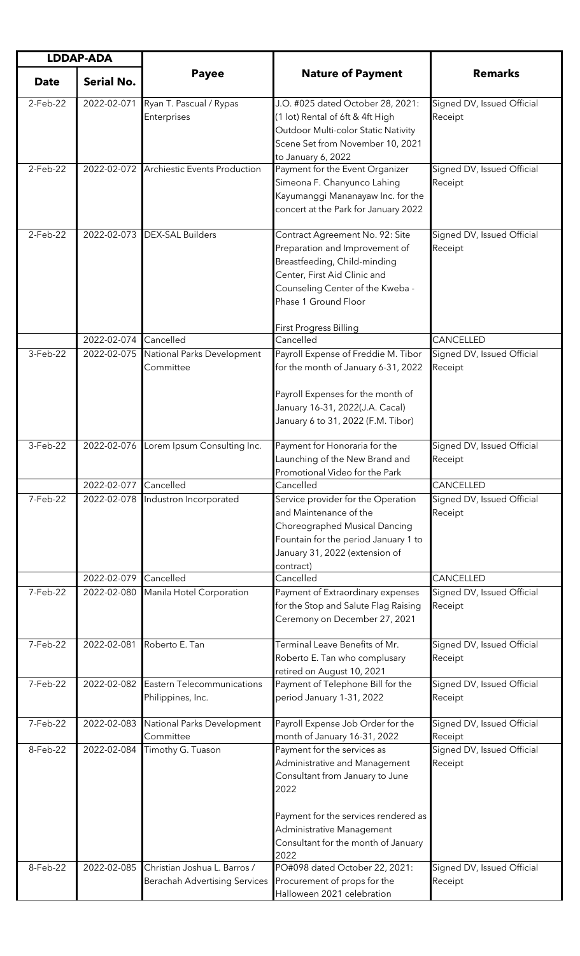| <b>LDDAP-ADA</b> |                   |                                                               |                                                                                                                                                                                                                     |                                       |
|------------------|-------------------|---------------------------------------------------------------|---------------------------------------------------------------------------------------------------------------------------------------------------------------------------------------------------------------------|---------------------------------------|
| <b>Date</b>      | <b>Serial No.</b> | <b>Payee</b>                                                  | <b>Nature of Payment</b>                                                                                                                                                                                            | <b>Remarks</b>                        |
| $2$ -Feb-22      | 2022-02-071       | Ryan T. Pascual / Rypas<br>Enterprises                        | J.O. #025 dated October 28, 2021:<br>(1 lot) Rental of 6ft & 4ft High<br>Outdoor Multi-color Static Nativity<br>Scene Set from November 10, 2021<br>to January 6, 2022                                              | Signed DV, Issued Official<br>Receipt |
| $2-Feb-22$       | 2022-02-072       | Archiestic Events Production                                  | Payment for the Event Organizer<br>Simeona F. Chanyunco Lahing<br>Kayumanggi Mananayaw Inc. for the<br>concert at the Park for January 2022                                                                         | Signed DV, Issued Official<br>Receipt |
| $2-Feb-22$       | 2022-02-073       | <b>DEX-SAL Builders</b>                                       | Contract Agreement No. 92: Site<br>Preparation and Improvement of<br>Breastfeeding, Child-minding<br>Center, First Aid Clinic and<br>Counseling Center of the Kweba -<br>Phase 1 Ground Floor                       | Signed DV, Issued Official<br>Receipt |
|                  | 2022-02-074       | Cancelled                                                     | <b>First Progress Billing</b><br>Cancelled                                                                                                                                                                          | CANCELLED                             |
| 3-Feb-22         | 2022-02-075       | National Parks Development<br>Committee                       | Payroll Expense of Freddie M. Tibor<br>for the month of January 6-31, 2022<br>Payroll Expenses for the month of<br>January 16-31, 2022(J.A. Cacal)<br>January 6 to 31, 2022 (F.M. Tibor)                            | Signed DV, Issued Official<br>Receipt |
| 3-Feb-22         | 2022-02-076       | Lorem Ipsum Consulting Inc.                                   | Payment for Honoraria for the<br>Launching of the New Brand and<br>Promotional Video for the Park                                                                                                                   | Signed DV, Issued Official<br>Receipt |
|                  | 2022-02-077       | Cancelled                                                     | Cancelled                                                                                                                                                                                                           | CANCELLED                             |
| 7-Feb-22         | 2022-02-078       | Industron Incorporated                                        | Service provider for the Operation<br>and Maintenance of the<br>Choreographed Musical Dancing<br>Fountain for the period January 1 to<br>January 31, 2022 (extension of<br>contract)                                | Signed DV, Issued Official<br>Receipt |
|                  | 2022-02-079       | Cancelled                                                     | Cancelled                                                                                                                                                                                                           | CANCELLED                             |
| 7-Feb-22         | 2022-02-080       | Manila Hotel Corporation                                      | Payment of Extraordinary expenses<br>for the Stop and Salute Flag Raising<br>Ceremony on December 27, 2021                                                                                                          | Signed DV, Issued Official<br>Receipt |
| 7-Feb-22         | 2022-02-081       | Roberto E. Tan                                                | Terminal Leave Benefits of Mr.<br>Roberto E. Tan who complusary<br>retired on August 10, 2021                                                                                                                       | Signed DV, Issued Official<br>Receipt |
| 7-Feb-22         | 2022-02-082       | Eastern Telecommunications<br>Philippines, Inc.               | Payment of Telephone Bill for the<br>period January 1-31, 2022                                                                                                                                                      | Signed DV, Issued Official<br>Receipt |
| 7-Feb-22         | 2022-02-083       | National Parks Development<br>Committee                       | Payroll Expense Job Order for the<br>month of January 16-31, 2022                                                                                                                                                   | Signed DV, Issued Official<br>Receipt |
| 8-Feb-22         | 2022-02-084       | Timothy G. Tuason                                             | Payment for the services as<br>Administrative and Management<br>Consultant from January to June<br>2022<br>Payment for the services rendered as<br>Administrative Management<br>Consultant for the month of January | Signed DV, Issued Official<br>Receipt |
| 8-Feb-22         | 2022-02-085       | Christian Joshua L. Barros /<br>Berachah Advertising Services | 2022<br>PO#098 dated October 22, 2021:<br>Procurement of props for the<br>Halloween 2021 celebration                                                                                                                | Signed DV, Issued Official<br>Receipt |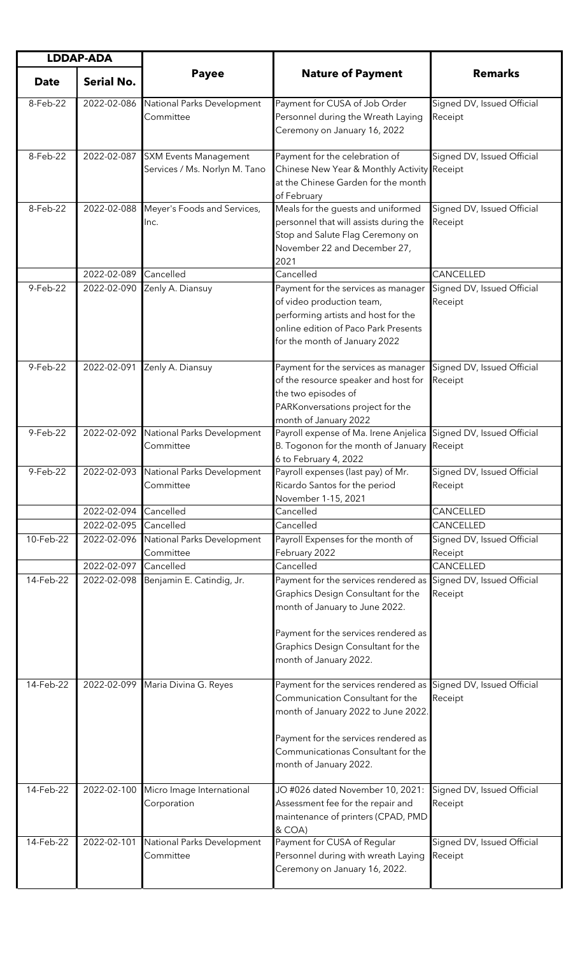| <b>LDDAP-ADA</b> |                   |                                                               |                                                                                                                                                                                                                                                    |                                       |
|------------------|-------------------|---------------------------------------------------------------|----------------------------------------------------------------------------------------------------------------------------------------------------------------------------------------------------------------------------------------------------|---------------------------------------|
| <b>Date</b>      | <b>Serial No.</b> | <b>Payee</b>                                                  | <b>Nature of Payment</b>                                                                                                                                                                                                                           | <b>Remarks</b>                        |
| 8-Feb-22         | 2022-02-086       | National Parks Development<br>Committee                       | Payment for CUSA of Job Order<br>Personnel during the Wreath Laying<br>Ceremony on January 16, 2022                                                                                                                                                | Signed DV, Issued Official<br>Receipt |
| 8-Feb-22         | 2022-02-087       | <b>SXM Events Management</b><br>Services / Ms. Norlyn M. Tano | Payment for the celebration of<br>Chinese New Year & Monthly Activity Receipt<br>at the Chinese Garden for the month<br>of February                                                                                                                | Signed DV, Issued Official            |
| 8-Feb-22         | 2022-02-088       | Meyer's Foods and Services,<br>Inc.                           | Meals for the guests and uniformed<br>personnel that will assists during the<br>Stop and Salute Flag Ceremony on<br>November 22 and December 27,<br>2021                                                                                           | Signed DV, Issued Official<br>Receipt |
|                  | 2022-02-089       | Cancelled                                                     | Cancelled                                                                                                                                                                                                                                          | CANCELLED                             |
| 9-Feb-22         | 2022-02-090       | Zenly A. Diansuy                                              | Payment for the services as manager<br>of video production team,<br>performing artists and host for the<br>online edition of Paco Park Presents<br>for the month of January 2022                                                                   | Signed DV, Issued Official<br>Receipt |
| 9-Feb-22         | 2022-02-091       | Zenly A. Diansuy                                              | Payment for the services as manager<br>of the resource speaker and host for<br>the two episodes of<br>PARKonversations project for the<br>month of January 2022                                                                                    | Signed DV, Issued Official<br>Receipt |
| 9-Feb-22         |                   | 2022-02-092 National Parks Development<br>Committee           | Payroll expense of Ma. Irene Anjelica Signed DV, Issued Official<br>B. Togonon for the month of January Receipt<br>6 to February 4, 2022                                                                                                           |                                       |
| 9-Feb-22         |                   | 2022-02-093 National Parks Development<br>Committee           | Payroll expenses (last pay) of Mr.<br>Ricardo Santos for the period<br>November 1-15, 2021                                                                                                                                                         | Signed DV, Issued Official<br>Receipt |
|                  | 2022-02-094       | Cancelled                                                     | Cancelled                                                                                                                                                                                                                                          | CANCELLED                             |
|                  | 2022-02-095       | Cancelled                                                     | Cancelled                                                                                                                                                                                                                                          | CANCELLED                             |
| 10-Feb-22        | 2022-02-096       | National Parks Development<br>Committee                       | Payroll Expenses for the month of<br>February 2022                                                                                                                                                                                                 | Signed DV, Issued Official<br>Receipt |
|                  | 2022-02-097       | Cancelled                                                     | Cancelled                                                                                                                                                                                                                                          | CANCELLED                             |
| 14-Feb-22        | 2022-02-098       | Benjamin E. Catindig, Jr.                                     | Payment for the services rendered as<br>Graphics Design Consultant for the<br>month of January to June 2022.<br>Payment for the services rendered as<br>Graphics Design Consultant for the<br>month of January 2022.                               | Signed DV, Issued Official<br>Receipt |
| 14-Feb-22        |                   | 2022-02-099 Maria Divina G. Reyes                             | Payment for the services rendered as Signed DV, Issued Official<br>Communication Consultant for the<br>month of January 2022 to June 2022.<br>Payment for the services rendered as<br>Communicationas Consultant for the<br>month of January 2022. | Receipt                               |
| 14-Feb-22        | 2022-02-100       | Micro Image International<br>Corporation                      | JO #026 dated November 10, 2021:<br>Assessment fee for the repair and<br>maintenance of printers (CPAD, PMD<br>& COA)                                                                                                                              | Signed DV, Issued Official<br>Receipt |
| 14-Feb-22        | 2022-02-101       | National Parks Development<br>Committee                       | Payment for CUSA of Regular<br>Personnel during with wreath Laying<br>Ceremony on January 16, 2022.                                                                                                                                                | Signed DV, Issued Official<br>Receipt |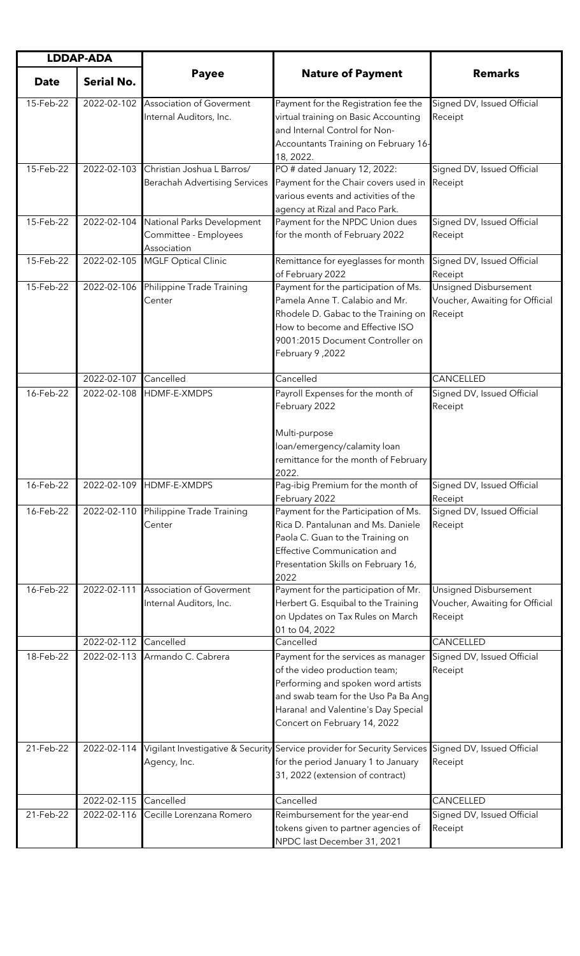| <b>LDDAP-ADA</b> |                   |                                                                    |                                                                                                                                                                                                                          |                                                                    |
|------------------|-------------------|--------------------------------------------------------------------|--------------------------------------------------------------------------------------------------------------------------------------------------------------------------------------------------------------------------|--------------------------------------------------------------------|
| <b>Date</b>      | <b>Serial No.</b> | <b>Payee</b>                                                       | <b>Nature of Payment</b>                                                                                                                                                                                                 | <b>Remarks</b>                                                     |
| 15-Feb-22        | 2022-02-102       | <b>Association of Goverment</b><br>Internal Auditors, Inc.         | Payment for the Registration fee the<br>virtual training on Basic Accounting<br>and Internal Control for Non-<br>Accountants Training on February 16-<br>18, 2022.                                                       | Signed DV, Issued Official<br>Receipt                              |
| 15-Feb-22        | 2022-02-103       | Christian Joshua L Barros/<br><b>Berachah Advertising Services</b> | PO # dated January 12, 2022:<br>Payment for the Chair covers used in<br>various events and activities of the<br>agency at Rizal and Paco Park.                                                                           | Signed DV, Issued Official<br>Receipt                              |
| 15-Feb-22        | 2022-02-104       | National Parks Development<br>Committee - Employees<br>Association | Payment for the NPDC Union dues<br>for the month of February 2022                                                                                                                                                        | Signed DV, Issued Official<br>Receipt                              |
| 15-Feb-22        | 2022-02-105       | <b>MGLF Optical Clinic</b>                                         | Remittance for eyeglasses for month<br>of February 2022                                                                                                                                                                  | Signed DV, Issued Official<br>Receipt                              |
| 15-Feb-22        | 2022-02-106       | Philippine Trade Training<br>Center                                | Payment for the participation of Ms.<br>Pamela Anne T. Calabio and Mr.<br>Rhodele D. Gabac to the Training on<br>How to become and Effective ISO<br>9001:2015 Document Controller on<br>February 9,2022                  | Unsigned Disbursement<br>Voucher, Awaiting for Official<br>Receipt |
|                  | 2022-02-107       | Cancelled                                                          | Cancelled                                                                                                                                                                                                                | CANCELLED                                                          |
| 16-Feb-22        | 2022-02-108       | HDMF-E-XMDPS                                                       | Payroll Expenses for the month of<br>February 2022<br>Multi-purpose<br>loan/emergency/calamity loan<br>remittance for the month of February<br>2022                                                                      | Signed DV, Issued Official<br>Receipt                              |
| 16-Feb-22        |                   | 2022-02-109 HDMF-E-XMDPS                                           | Pag-ibig Premium for the month of<br>February 2022                                                                                                                                                                       | Signed DV, Issued Official<br>Receipt                              |
| 16-Feb-22        | 2022-02-110       | Philippine Trade Training<br>Center                                | Payment for the Participation of Ms.<br>Rica D. Pantalunan and Ms. Daniele<br>Paola C. Guan to the Training on<br><b>Effective Communication and</b><br>Presentation Skills on February 16,<br>2022                      | Signed DV, Issued Official<br>Receipt                              |
| 16-Feb-22        | 2022-02-111       | <b>Association of Goverment</b><br>Internal Auditors, Inc.         | Payment for the participation of Mr.<br>Herbert G. Esquibal to the Training<br>on Updates on Tax Rules on March<br>01 to 04, 2022                                                                                        | Unsigned Disbursement<br>Voucher, Awaiting for Official<br>Receipt |
|                  | 2022-02-112       | Cancelled                                                          | Cancelled                                                                                                                                                                                                                | CANCELLED                                                          |
| 18-Feb-22        | 2022-02-113       | Armando C. Cabrera                                                 | Payment for the services as manager<br>of the video production team;<br>Performing and spoken word artists<br>and swab team for the Uso Pa Ba Ang<br>Harana! and Valentine's Day Special<br>Concert on February 14, 2022 | Signed DV, Issued Official<br>Receipt                              |
| 21-Feb-22        | 2022-02-114       | Agency, Inc.                                                       | Vigilant Investigative & Security Service provider for Security Services<br>for the period January 1 to January<br>31, 2022 (extension of contract)                                                                      | Signed DV, Issued Official<br>Receipt                              |
|                  | 2022-02-115       | Cancelled                                                          | Cancelled                                                                                                                                                                                                                | CANCELLED                                                          |
| 21-Feb-22        | 2022-02-116       | Cecille Lorenzana Romero                                           | Reimbursement for the year-end<br>tokens given to partner agencies of<br>NPDC last December 31, 2021                                                                                                                     | Signed DV, Issued Official<br>Receipt                              |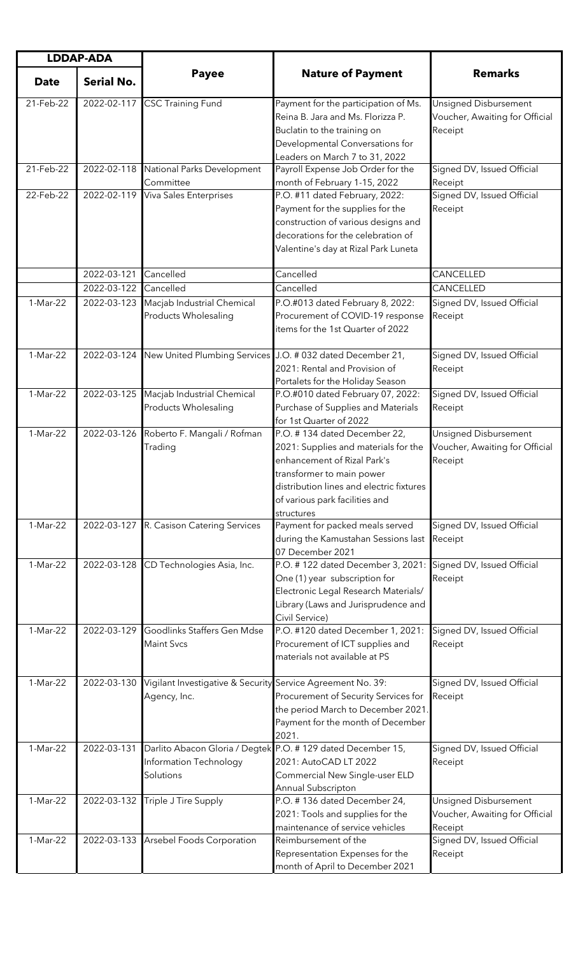| <b>LDDAP-ADA</b> |                            |                                                                             |                                                                                                                                                                                                                              |                                                                    |
|------------------|----------------------------|-----------------------------------------------------------------------------|------------------------------------------------------------------------------------------------------------------------------------------------------------------------------------------------------------------------------|--------------------------------------------------------------------|
| <b>Date</b>      | <b>Serial No.</b>          | <b>Payee</b>                                                                | <b>Nature of Payment</b>                                                                                                                                                                                                     | <b>Remarks</b>                                                     |
| 21-Feb-22        | 2022-02-117                | <b>CSC Training Fund</b>                                                    | Payment for the participation of Ms.<br>Reina B. Jara and Ms. Florizza P.<br>Buclatin to the training on<br>Developmental Conversations for                                                                                  | Unsigned Disbursement<br>Voucher, Awaiting for Official<br>Receipt |
| 21-Feb-22        | 2022-02-118                | National Parks Development<br>Committee                                     | Leaders on March 7 to 31, 2022<br>Payroll Expense Job Order for the<br>month of February 1-15, 2022                                                                                                                          | Signed DV, Issued Official<br>Receipt                              |
| 22-Feb-22        | 2022-02-119                | <b>Viva Sales Enterprises</b>                                               | P.O. #11 dated February, 2022:<br>Payment for the supplies for the<br>construction of various designs and<br>decorations for the celebration of<br>Valentine's day at Rizal Park Luneta                                      | Signed DV, Issued Official<br>Receipt                              |
|                  | 2022-03-121<br>2022-03-122 | Cancelled<br>Cancelled                                                      | Cancelled<br>Cancelled                                                                                                                                                                                                       | CANCELLED<br>CANCELLED                                             |
| 1-Mar-22         | 2022-03-123                | Macjab Industrial Chemical<br>Products Wholesaling                          | P.O.#013 dated February 8, 2022:<br>Procurement of COVID-19 response<br>items for the 1st Quarter of 2022                                                                                                                    | Signed DV, Issued Official<br>Receipt                              |
| 1-Mar-22         |                            | 2022-03-124 New United Plumbing Services                                    | J.O. # 032 dated December 21,<br>2021: Rental and Provision of<br>Portalets for the Holiday Season                                                                                                                           | Signed DV, Issued Official<br>Receipt                              |
| 1-Mar-22         | 2022-03-125                | Macjab Industrial Chemical<br>Products Wholesaling                          | P.O.#010 dated February 07, 2022:<br>Purchase of Supplies and Materials<br>for 1st Quarter of 2022                                                                                                                           | Signed DV, Issued Official<br>Receipt                              |
| 1-Mar-22         | 2022-03-126                | Roberto F. Mangali / Rofman<br>Trading                                      | P.O. #134 dated December 22,<br>2021: Supplies and materials for the<br>enhancement of Rizal Park's<br>transformer to main power<br>distribution lines and electric fixtures<br>of various park facilities and<br>structures | Unsigned Disbursement<br>Voucher, Awaiting for Official<br>Receipt |
| 1-Mar-22         |                            | 2022-03-127 R. Casison Catering Services                                    | Payment for packed meals served<br>during the Kamustahan Sessions last<br>07 December 2021                                                                                                                                   | Signed DV, Issued Official<br>Receipt                              |
| 1-Mar-22         | 2022-03-128                | CD Technologies Asia, Inc.                                                  | P.O. #122 dated December 3, 2021:<br>One (1) year subscription for<br>Electronic Legal Research Materials/<br>Library (Laws and Jurisprudence and<br>Civil Service)                                                          | Signed DV, Issued Official<br>Receipt                              |
| 1-Mar-22         | 2022-03-129                | Goodlinks Staffers Gen Mdse<br><b>Maint Svcs</b>                            | P.O. #120 dated December 1, 2021:<br>Procurement of ICT supplies and<br>materials not available at PS                                                                                                                        | Signed DV, Issued Official<br>Receipt                              |
| 1-Mar-22         | 2022-03-130                | Vigilant Investigative & Security Service Agreement No. 39:<br>Agency, Inc. | Procurement of Security Services for<br>the period March to December 2021.<br>Payment for the month of December<br>2021.                                                                                                     | Signed DV, Issued Official<br>Receipt                              |
| 1-Mar-22         | 2022-03-131                | Information Technology<br>Solutions                                         | Darlito Abacon Gloria / Degtek P.O. # 129 dated December 15,<br>2021: AutoCAD LT 2022<br>Commercial New Single-user ELD<br>Annual Subscripton                                                                                | Signed DV, Issued Official<br>Receipt                              |
| 1-Mar-22         | 2022-03-132                | Triple J Tire Supply                                                        | P.O. #136 dated December 24,<br>2021: Tools and supplies for the<br>maintenance of service vehicles                                                                                                                          | Unsigned Disbursement<br>Voucher, Awaiting for Official<br>Receipt |
| 1-Mar-22         | 2022-03-133                | Arsebel Foods Corporation                                                   | Reimbursement of the<br>Representation Expenses for the<br>month of April to December 2021                                                                                                                                   | Signed DV, Issued Official<br>Receipt                              |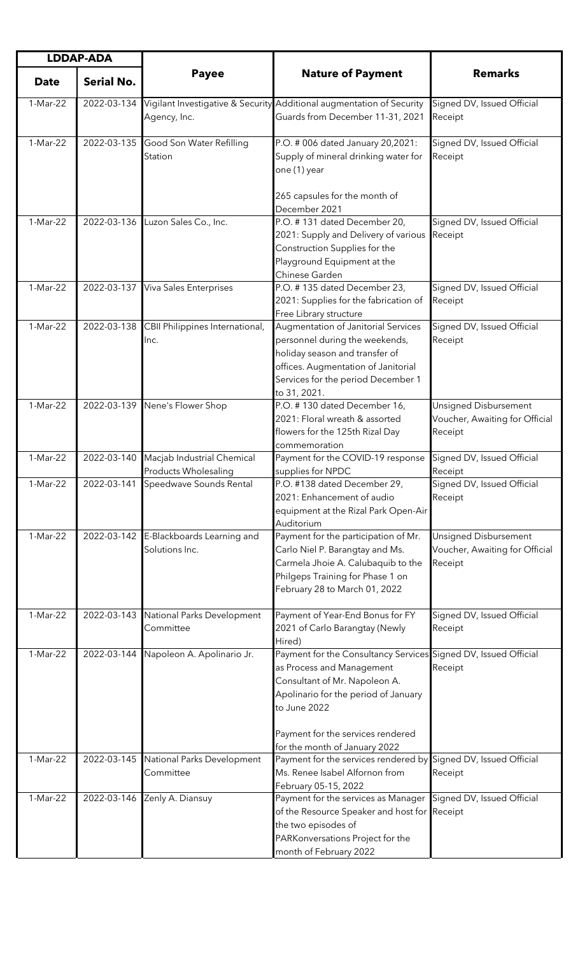| <b>LDDAP-ADA</b> |                   |                                                          |                                                                                                                                                                                                                            |                                                                    |
|------------------|-------------------|----------------------------------------------------------|----------------------------------------------------------------------------------------------------------------------------------------------------------------------------------------------------------------------------|--------------------------------------------------------------------|
| <b>Date</b>      | <b>Serial No.</b> | <b>Payee</b>                                             | <b>Nature of Payment</b>                                                                                                                                                                                                   | <b>Remarks</b>                                                     |
| 1-Mar-22         | 2022-03-134       | Agency, Inc.                                             | Vigilant Investigative & Security Additional augmentation of Security<br>Guards from December 11-31, 2021                                                                                                                  | Signed DV, Issued Official<br>Receipt                              |
| 1-Mar-22         | 2022-03-135       | Good Son Water Refilling<br>Station                      | P.O. # 006 dated January 20,2021:<br>Supply of mineral drinking water for<br>one (1) year<br>265 capsules for the month of<br>December 2021                                                                                | Signed DV, Issued Official<br>Receipt                              |
| 1-Mar-22         |                   | 2022-03-136 Luzon Sales Co., Inc.                        | P.O. #131 dated December 20,<br>2021: Supply and Delivery of various<br>Construction Supplies for the<br>Playground Equipment at the<br>Chinese Garden                                                                     | Signed DV, Issued Official<br>Receipt                              |
| 1-Mar-22         | 2022-03-137       | Viva Sales Enterprises                                   | P.O. #135 dated December 23,<br>2021: Supplies for the fabrication of<br>Free Library structure                                                                                                                            | Signed DV, Issued Official<br>Receipt                              |
| 1-Mar-22         | 2022-03-138       | CBII Philippines International,<br>Inc.                  | Augmentation of Janitorial Services<br>personnel during the weekends,<br>holiday season and transfer of<br>offices. Augmentation of Janitorial<br>Services for the period December 1<br>to 31, 2021.                       | Signed DV, Issued Official<br>Receipt                              |
| 1-Mar-22         |                   | 2022-03-139 Nene's Flower Shop                           | P.O. #130 dated December 16,<br>2021: Floral wreath & assorted<br>flowers for the 125th Rizal Day<br>commemoration                                                                                                         | Unsigned Disbursement<br>Voucher, Awaiting for Official<br>Receipt |
| 1-Mar-22         | 2022-03-140       | Macjab Industrial Chemical<br>Products Wholesaling       | Payment for the COVID-19 response<br>supplies for NPDC                                                                                                                                                                     | Signed DV, Issued Official<br>Receipt                              |
| 1-Mar-22         |                   | 2022-03-141 Speedwave Sounds Rental                      | P.O. #138 dated December 29,<br>2021: Enhancement of audio<br>equipment at the Rizal Park Open-Air<br>Auditorium                                                                                                           | Signed DV, Issued Official<br>Receipt                              |
| 1-Mar-22         |                   | 2022-03-142 E-Blackboards Learning and<br>Solutions Inc. | Payment for the participation of Mr.<br>Carlo Niel P. Barangtay and Ms.<br>Carmela Jhoie A. Calubaquib to the<br>Philgeps Training for Phase 1 on<br>February 28 to March 01, 2022                                         | Unsigned Disbursement<br>Voucher, Awaiting for Official<br>Receipt |
| 1-Mar-22         | 2022-03-143       | National Parks Development<br>Committee                  | Payment of Year-End Bonus for FY<br>2021 of Carlo Barangtay (Newly<br>Hired)                                                                                                                                               | Signed DV, Issued Official<br>Receipt                              |
| 1-Mar-22         | 2022-03-144       | Napoleon A. Apolinario Jr.                               | Payment for the Consultancy Services Signed DV, Issued Official<br>as Process and Management<br>Consultant of Mr. Napoleon A.<br>Apolinario for the period of January<br>to June 2022<br>Payment for the services rendered | Receipt                                                            |
| 1-Mar-22         | 2022-03-145       | National Parks Development<br>Committee                  | for the month of January 2022<br>Payment for the services rendered by<br>Ms. Renee Isabel Alfornon from                                                                                                                    | Signed DV, Issued Official<br>Receipt                              |
| 1-Mar-22         | 2022-03-146       | Zenly A. Diansuy                                         | February 05-15, 2022<br>Payment for the services as Manager<br>of the Resource Speaker and host for Receipt<br>the two episodes of<br>PARKonversations Project for the<br>month of February 2022                           | Signed DV, Issued Official                                         |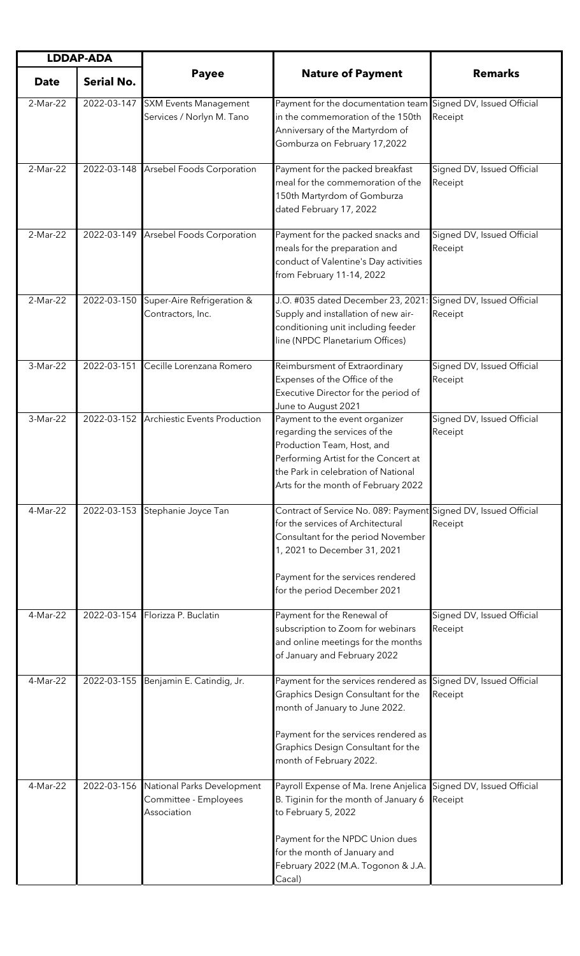| <b>LDDAP-ADA</b> |                   |                                                                    |                                                                                                                                                                                                                                                     |                                       |
|------------------|-------------------|--------------------------------------------------------------------|-----------------------------------------------------------------------------------------------------------------------------------------------------------------------------------------------------------------------------------------------------|---------------------------------------|
| <b>Date</b>      | <b>Serial No.</b> | <b>Payee</b>                                                       | <b>Nature of Payment</b>                                                                                                                                                                                                                            | <b>Remarks</b>                        |
| 2-Mar-22         | 2022-03-147       | <b>SXM Events Management</b><br>Services / Norlyn M. Tano          | Payment for the documentation team Signed DV, Issued Official<br>in the commemoration of the 150th<br>Anniversary of the Martyrdom of<br>Gomburza on February 17,2022                                                                               | Receipt                               |
| 2-Mar-22         |                   | 2022-03-148 Arsebel Foods Corporation                              | Payment for the packed breakfast<br>meal for the commemoration of the<br>150th Martyrdom of Gomburza<br>dated February 17, 2022                                                                                                                     | Signed DV, Issued Official<br>Receipt |
| 2-Mar-22         |                   | 2022-03-149 Arsebel Foods Corporation                              | Payment for the packed snacks and<br>meals for the preparation and<br>conduct of Valentine's Day activities<br>from February 11-14, 2022                                                                                                            | Signed DV, Issued Official<br>Receipt |
| 2-Mar-22         | 2022-03-150       | Super-Aire Refrigeration &<br>Contractors, Inc.                    | J.O. #035 dated December 23, 2021:<br>Supply and installation of new air-<br>conditioning unit including feeder<br>line (NPDC Planetarium Offices)                                                                                                  | Signed DV, Issued Official<br>Receipt |
| 3-Mar-22         | 2022-03-151       | Cecille Lorenzana Romero                                           | Reimbursment of Extraordinary<br>Expenses of the Office of the<br>Executive Director for the period of<br>June to August 2021                                                                                                                       | Signed DV, Issued Official<br>Receipt |
| 3-Mar-22         | 2022-03-152       | <b>Archiestic Events Production</b>                                | Payment to the event organizer<br>regarding the services of the<br>Production Team, Host, and<br>Performing Artist for the Concert at<br>the Park in celebration of National<br>Arts for the month of February 2022                                 | Signed DV, Issued Official<br>Receipt |
| 4-Mar-22         | 2022-03-153       | Stephanie Joyce Tan                                                | Contract of Service No. 089: Payment Signed DV, Issued Official<br>for the services of Architectural<br>Consultant for the period November<br>1, 2021 to December 31, 2021<br>Payment for the services rendered<br>for the period December 2021     | Receipt                               |
| 4-Mar-22         | 2022-03-154       | Florizza P. Buclatin                                               | Payment for the Renewal of<br>subscription to Zoom for webinars<br>and online meetings for the months<br>of January and February 2022                                                                                                               | Signed DV, Issued Official<br>Receipt |
| 4-Mar-22         | 2022-03-155       | Benjamin E. Catindig, Jr.                                          | Payment for the services rendered as<br>Graphics Design Consultant for the<br>month of January to June 2022.<br>Payment for the services rendered as<br>Graphics Design Consultant for the<br>month of February 2022.                               | Signed DV, Issued Official<br>Receipt |
| 4-Mar-22         | 2022-03-156       | National Parks Development<br>Committee - Employees<br>Association | Payroll Expense of Ma. Irene Anjelica Signed DV, Issued Official<br>B. Tiginin for the month of January 6<br>to February 5, 2022<br>Payment for the NPDC Union dues<br>for the month of January and<br>February 2022 (M.A. Togonon & J.A.<br>Cacal) | Receipt                               |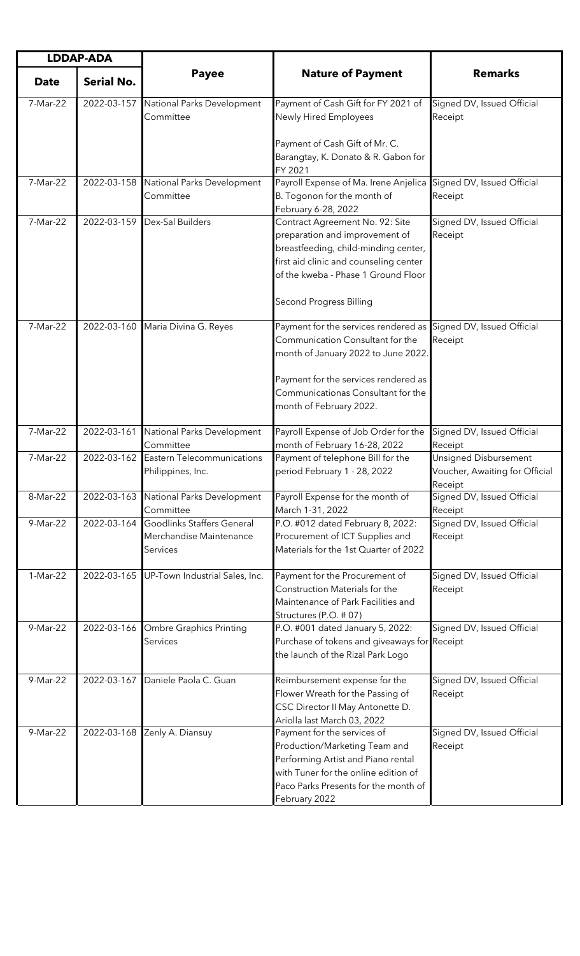| <b>LDDAP-ADA</b> |                   |                                                                   |                                                                                                                                                                                                                                                     |                                                                    |
|------------------|-------------------|-------------------------------------------------------------------|-----------------------------------------------------------------------------------------------------------------------------------------------------------------------------------------------------------------------------------------------------|--------------------------------------------------------------------|
| <b>Date</b>      | <b>Serial No.</b> | <b>Payee</b>                                                      | <b>Nature of Payment</b>                                                                                                                                                                                                                            | <b>Remarks</b>                                                     |
| 7-Mar-22         | 2022-03-157       | National Parks Development<br>Committee                           | Payment of Cash Gift for FY 2021 of<br>Newly Hired Employees                                                                                                                                                                                        | Signed DV, Issued Official<br>Receipt                              |
|                  |                   |                                                                   | Payment of Cash Gift of Mr. C.<br>Barangtay, K. Donato & R. Gabon for<br>FY 2021                                                                                                                                                                    |                                                                    |
| 7-Mar-22         | 2022-03-158       | National Parks Development<br>Committee                           | Payroll Expense of Ma. Irene Anjelica<br>B. Togonon for the month of<br>February 6-28, 2022                                                                                                                                                         | Signed DV, Issued Official<br>Receipt                              |
| 7-Mar-22         | 2022-03-159       | Dex-Sal Builders                                                  | Contract Agreement No. 92: Site<br>preparation and improvement of<br>breastfeeding, child-minding center,<br>first aid clinic and counseling center<br>of the kweba - Phase 1 Ground Floor<br><b>Second Progress Billing</b>                        | Signed DV, Issued Official<br>Receipt                              |
| 7-Mar-22         | 2022-03-160       | Maria Divina G. Reyes                                             | Payment for the services rendered as Signed DV, Issued Official<br>Communication Consultant for the<br>month of January 2022 to June 2022.<br>Payment for the services rendered as<br>Communicationas Consultant for the<br>month of February 2022. | Receipt                                                            |
| 7-Mar-22         | 2022-03-161       | National Parks Development<br>Committee                           | Payroll Expense of Job Order for the<br>month of February 16-28, 2022                                                                                                                                                                               | Signed DV, Issued Official<br>Receipt                              |
| 7-Mar-22         | 2022-03-162       | Eastern Telecommunications<br>Philippines, Inc.                   | Payment of telephone Bill for the<br>period February 1 - 28, 2022                                                                                                                                                                                   | Unsigned Disbursement<br>Voucher, Awaiting for Official<br>Receipt |
| 8-Mar-22         | 2022-03-163       | National Parks Development<br>Committee                           | Payroll Expense for the month of<br>March 1-31, 2022                                                                                                                                                                                                | Signed DV, Issued Official<br>Receipt                              |
| 9-Mar-22         | 2022-03-164       | Goodlinks Staffers General<br>Merchandise Maintenance<br>Services | P.O. #012 dated February 8, 2022:<br>Procurement of ICT Supplies and<br>Materials for the 1st Quarter of 2022                                                                                                                                       | Signed DV, Issued Official<br>Receipt                              |
| 1-Mar-22         | 2022-03-165       | UP-Town Industrial Sales, Inc.                                    | Payment for the Procurement of<br>Construction Materials for the<br>Maintenance of Park Facilities and<br>Structures (P.O. # 07)                                                                                                                    | Signed DV, Issued Official<br>Receipt                              |
| 9-Mar-22         | 2022-03-166       | Ombre Graphics Printing<br>Services                               | P.O. #001 dated January 5, 2022:<br>Purchase of tokens and giveaways for Receipt<br>the launch of the Rizal Park Logo                                                                                                                               | Signed DV, Issued Official                                         |
| 9-Mar-22         | 2022-03-167       | Daniele Paola C. Guan                                             | Reimbursement expense for the<br>Flower Wreath for the Passing of<br>CSC Director II May Antonette D.<br>Ariolla last March 03, 2022                                                                                                                | Signed DV, Issued Official<br>Receipt                              |
| 9-Mar-22         | 2022-03-168       | Zenly A. Diansuy                                                  | Payment for the services of<br>Production/Marketing Team and<br>Performing Artist and Piano rental<br>with Tuner for the online edition of<br>Paco Parks Presents for the month of<br>February 2022                                                 | Signed DV, Issued Official<br>Receipt                              |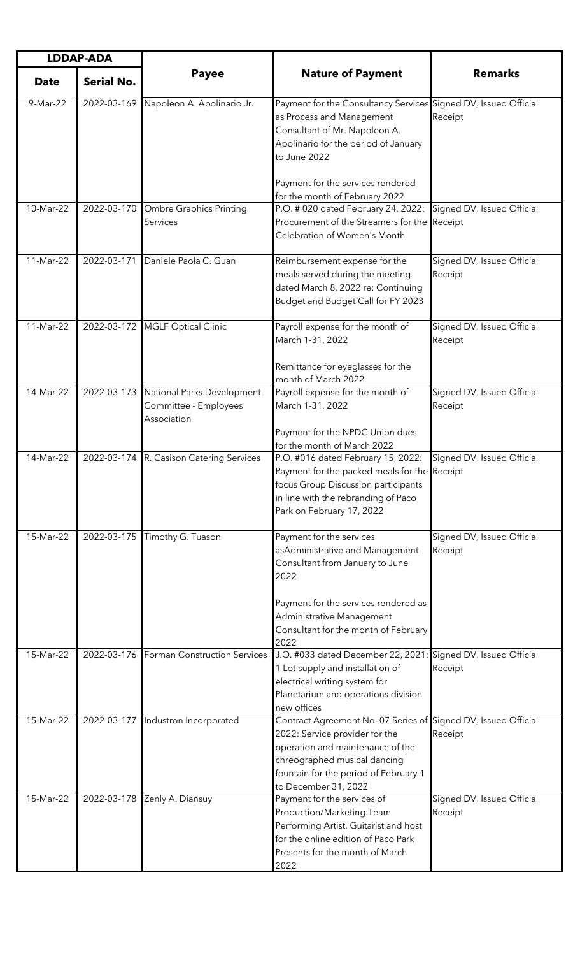| <b>LDDAP-ADA</b> |                   |                                                                    |                                                                                                                                                                                                                                       |                                       |
|------------------|-------------------|--------------------------------------------------------------------|---------------------------------------------------------------------------------------------------------------------------------------------------------------------------------------------------------------------------------------|---------------------------------------|
| <b>Date</b>      | <b>Serial No.</b> | <b>Payee</b>                                                       | <b>Nature of Payment</b>                                                                                                                                                                                                              | <b>Remarks</b>                        |
| 9-Mar-22         | 2022-03-169       | Napoleon A. Apolinario Jr.                                         | Payment for the Consultancy Services Signed DV, Issued Official<br>as Process and Management<br>Consultant of Mr. Napoleon A.<br>Apolinario for the period of January<br>to June 2022                                                 | Receipt                               |
|                  |                   |                                                                    | Payment for the services rendered<br>for the month of February 2022                                                                                                                                                                   |                                       |
| 10-Mar-22        | 2022-03-170       | <b>Ombre Graphics Printing</b><br>Services                         | P.O. # 020 dated February 24, 2022:<br>Procurement of the Streamers for the Receipt<br>Celebration of Women's Month                                                                                                                   | Signed DV, Issued Official            |
| 11-Mar-22        | 2022-03-171       | Daniele Paola C. Guan                                              | Reimbursement expense for the<br>meals served during the meeting<br>dated March 8, 2022 re: Continuing<br>Budget and Budget Call for FY 2023                                                                                          | Signed DV, Issued Official<br>Receipt |
| 11-Mar-22        | 2022-03-172       | <b>MGLF Optical Clinic</b>                                         | Payroll expense for the month of<br>March 1-31, 2022                                                                                                                                                                                  | Signed DV, Issued Official<br>Receipt |
|                  |                   |                                                                    | Remittance for eyeglasses for the<br>month of March 2022                                                                                                                                                                              |                                       |
| 14-Mar-22        | 2022-03-173       | National Parks Development<br>Committee - Employees<br>Association | Payroll expense for the month of<br>March 1-31, 2022                                                                                                                                                                                  | Signed DV, Issued Official<br>Receipt |
|                  |                   |                                                                    | Payment for the NPDC Union dues<br>for the month of March 2022                                                                                                                                                                        |                                       |
| 14-Mar-22        | 2022-03-174       | R. Casison Catering Services                                       | P.O. #016 dated February 15, 2022:<br>Payment for the packed meals for the Receipt<br>focus Group Discussion participants<br>in line with the rebranding of Paco<br>Park on February 17, 2022                                         | Signed DV, Issued Official            |
| 15-Mar-22        | 2022-03-175       | Timothy G. Tuason                                                  | Payment for the services<br>asAdministrative and Management<br>Consultant from January to June<br>2022<br>Payment for the services rendered as<br>Administrative Management<br>Consultant for the month of February<br>2022           | Signed DV, Issued Official<br>Receipt |
| 15-Mar-22        | 2022-03-176       | Forman Construction Services                                       | J.O. #033 dated December 22, 2021: Signed DV, Issued Official<br>1 Lot supply and installation of<br>electrical writing system for<br>Planetarium and operations division<br>new offices                                              | Receipt                               |
| 15-Mar-22        | 2022-03-177       | Industron Incorporated                                             | Contract Agreement No. 07 Series of Signed DV, Issued Official<br>2022: Service provider for the<br>operation and maintenance of the<br>chreographed musical dancing<br>fountain for the period of February 1<br>to December 31, 2022 | Receipt                               |
| 15-Mar-22        | 2022-03-178       | Zenly A. Diansuy                                                   | Payment for the services of<br>Production/Marketing Team<br>Performing Artist, Guitarist and host<br>for the online edition of Paco Park<br>Presents for the month of March<br>2022                                                   | Signed DV, Issued Official<br>Receipt |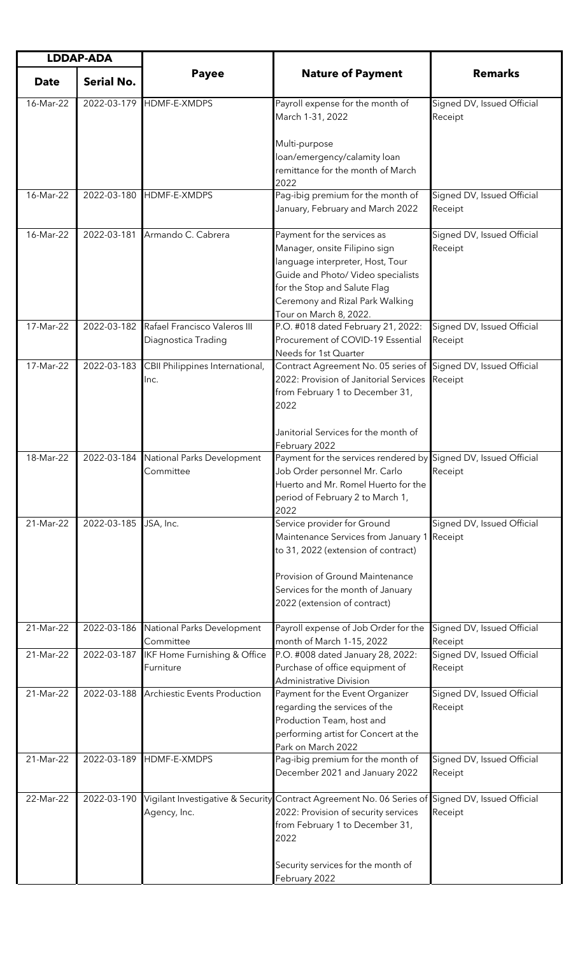| <b>LDDAP-ADA</b> |                   |                                                     |                                                                                                                                                                                                                                     |                                       |
|------------------|-------------------|-----------------------------------------------------|-------------------------------------------------------------------------------------------------------------------------------------------------------------------------------------------------------------------------------------|---------------------------------------|
| <b>Date</b>      | <b>Serial No.</b> | <b>Payee</b>                                        | <b>Nature of Payment</b>                                                                                                                                                                                                            | <b>Remarks</b>                        |
| 16-Mar-22        |                   | 2022-03-179 HDMF-E-XMDPS                            | Payroll expense for the month of<br>March 1-31, 2022                                                                                                                                                                                | Signed DV, Issued Official<br>Receipt |
|                  |                   |                                                     | Multi-purpose<br>loan/emergency/calamity loan<br>remittance for the month of March<br>2022                                                                                                                                          |                                       |
| 16-Mar-22        | 2022-03-180       | HDMF-E-XMDPS                                        | Pag-ibig premium for the month of<br>January, February and March 2022                                                                                                                                                               | Signed DV, Issued Official<br>Receipt |
| 16-Mar-22        | 2022-03-181       | Armando C. Cabrera                                  | Payment for the services as<br>Manager, onsite Filipino sign<br>language interpreter, Host, Tour<br>Guide and Photo/ Video specialists<br>for the Stop and Salute Flag<br>Ceremony and Rizal Park Walking<br>Tour on March 8, 2022. | Signed DV, Issued Official<br>Receipt |
| 17-Mar-22        | 2022-03-182       | Rafael Francisco Valeros III<br>Diagnostica Trading | P.O. #018 dated February 21, 2022:<br>Procurement of COVID-19 Essential<br>Needs for 1st Quarter                                                                                                                                    | Signed DV, Issued Official<br>Receipt |
| 17-Mar-22        | 2022-03-183       | CBII Philippines International,<br>Inc.             | Contract Agreement No. 05 series of Signed DV, Issued Official<br>2022: Provision of Janitorial Services<br>from February 1 to December 31,<br>2022                                                                                 | Receipt                               |
|                  |                   |                                                     | Janitorial Services for the month of<br>February 2022                                                                                                                                                                               |                                       |
| 18-Mar-22        | 2022-03-184       | National Parks Development<br>Committee             | Payment for the services rendered by Signed DV, Issued Official<br>Job Order personnel Mr. Carlo<br>Huerto and Mr. Romel Huerto for the<br>period of February 2 to March 1,<br>2022                                                 | Receipt                               |
| 21-Mar-22        | 2022-03-185       | JSA, Inc.                                           | Service provider for Ground<br>Maintenance Services from January 1<br>to 31, 2022 (extension of contract)<br>Provision of Ground Maintenance<br>Services for the month of January<br>2022 (extension of contract)                   | Signed DV, Issued Official<br>Receipt |
| 21-Mar-22        | 2022-03-186       | National Parks Development<br>Committee             | Payroll expense of Job Order for the<br>month of March 1-15, 2022                                                                                                                                                                   | Signed DV, Issued Official<br>Receipt |
| 21-Mar-22        | 2022-03-187       | IKF Home Furnishing & Office<br>Furniture           | P.O. #008 dated January 28, 2022:<br>Purchase of office equipment of<br><b>Administrative Division</b>                                                                                                                              | Signed DV, Issued Official<br>Receipt |
| 21-Mar-22        | 2022-03-188       | <b>Archiestic Events Production</b>                 | Payment for the Event Organizer<br>regarding the services of the<br>Production Team, host and<br>performing artist for Concert at the<br>Park on March 2022                                                                         | Signed DV, Issued Official<br>Receipt |
| 21-Mar-22        | 2022-03-189       | HDMF-E-XMDPS                                        | Pag-ibig premium for the month of<br>December 2021 and January 2022                                                                                                                                                                 | Signed DV, Issued Official<br>Receipt |
| 22-Mar-22        | 2022-03-190       | Agency, Inc.                                        | Vigilant Investigative & Security Contract Agreement No. 06 Series of Signed DV, Issued Official<br>2022: Provision of security services<br>from February 1 to December 31,<br>2022                                                 | Receipt                               |
|                  |                   |                                                     | Security services for the month of<br>February 2022                                                                                                                                                                                 |                                       |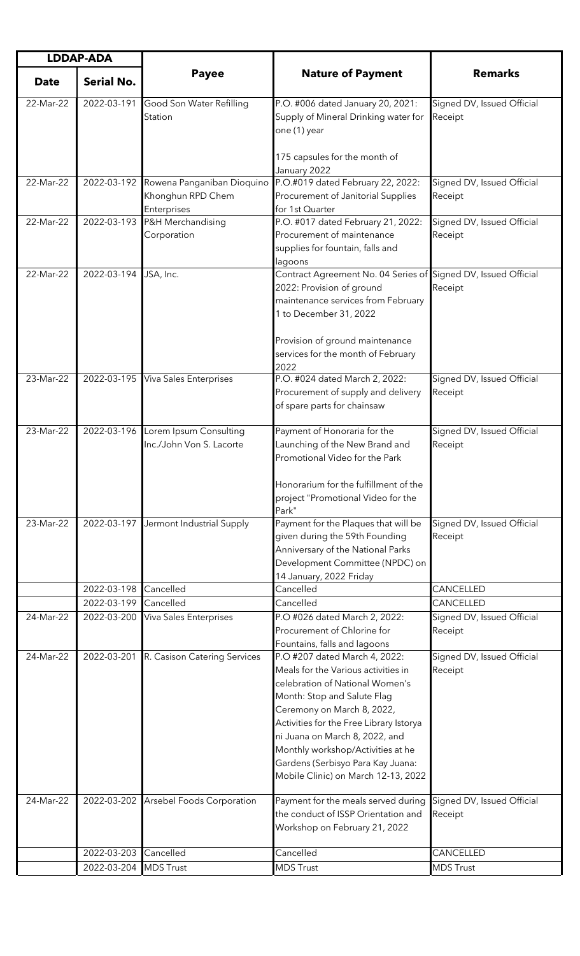| <b>LDDAP-ADA</b> |                   |                                                    |                                                                                                                                                                                                                                                                                                                                                                    |                                       |
|------------------|-------------------|----------------------------------------------------|--------------------------------------------------------------------------------------------------------------------------------------------------------------------------------------------------------------------------------------------------------------------------------------------------------------------------------------------------------------------|---------------------------------------|
| <b>Date</b>      | <b>Serial No.</b> | <b>Payee</b>                                       | <b>Nature of Payment</b>                                                                                                                                                                                                                                                                                                                                           | <b>Remarks</b>                        |
| 22-Mar-22        | 2022-03-191       | Good Son Water Refilling<br>Station                | P.O. #006 dated January 20, 2021:<br>Supply of Mineral Drinking water for<br>one (1) year<br>175 capsules for the month of                                                                                                                                                                                                                                         | Signed DV, Issued Official<br>Receipt |
| 22-Mar-22        |                   | 2022-03-192 Rowena Panganiban Dioquino             | January 2022<br>P.O.#019 dated February 22, 2022:                                                                                                                                                                                                                                                                                                                  | Signed DV, Issued Official            |
|                  |                   | Khonghun RPD Chem<br>Enterprises                   | Procurement of Janitorial Supplies<br>for 1st Quarter                                                                                                                                                                                                                                                                                                              | Receipt                               |
| 22-Mar-22        | 2022-03-193       | P&H Merchandising<br>Corporation                   | P.O. #017 dated February 21, 2022:<br>Procurement of maintenance<br>supplies for fountain, falls and<br>lagoons                                                                                                                                                                                                                                                    | Signed DV, Issued Official<br>Receipt |
| 22-Mar-22        | 2022-03-194       | JSA, Inc.                                          | Contract Agreement No. 04 Series of Signed DV, Issued Official<br>2022: Provision of ground<br>maintenance services from February<br>1 to December 31, 2022<br>Provision of ground maintenance<br>services for the month of February<br>2022                                                                                                                       | Receipt                               |
| 23-Mar-22        | 2022-03-195       | <b>Viva Sales Enterprises</b>                      | P.O. #024 dated March 2, 2022:<br>Procurement of supply and delivery<br>of spare parts for chainsaw                                                                                                                                                                                                                                                                | Signed DV, Issued Official<br>Receipt |
| 23-Mar-22        | 2022-03-196       | Lorem Ipsum Consulting<br>Inc./John Von S. Lacorte | Payment of Honoraria for the<br>Launching of the New Brand and<br>Promotional Video for the Park<br>Honorarium for the fulfillment of the<br>project "Promotional Video for the<br>Park"                                                                                                                                                                           | Signed DV, Issued Official<br>Receipt |
| 23-Mar-22        | 2022-03-197       | Jermont Industrial Supply                          | Payment for the Plaques that will be<br>given during the 59th Founding<br>Anniversary of the National Parks<br>Development Committee (NPDC) on<br>14 January, 2022 Friday                                                                                                                                                                                          | Signed DV, Issued Official<br>Receipt |
|                  | 2022-03-198       | Cancelled                                          | Cancelled                                                                                                                                                                                                                                                                                                                                                          | CANCELLED                             |
|                  | 2022-03-199       | Cancelled                                          | Cancelled                                                                                                                                                                                                                                                                                                                                                          | CANCELLED                             |
| 24-Mar-22        | 2022-03-200       | <b>Viva Sales Enterprises</b>                      | P.O #026 dated March 2, 2022:<br>Procurement of Chlorine for<br>Fountains, falls and lagoons                                                                                                                                                                                                                                                                       | Signed DV, Issued Official<br>Receipt |
| 24-Mar-22        | 2022-03-201       | R. Casison Catering Services                       | P.O #207 dated March 4, 2022:<br>Meals for the Various activities in<br>celebration of National Women's<br>Month: Stop and Salute Flag<br>Ceremony on March 8, 2022,<br>Activities for the Free Library Istorya<br>ni Juana on March 8, 2022, and<br>Monthly workshop/Activities at he<br>Gardens (Serbisyo Para Kay Juana:<br>Mobile Clinic) on March 12-13, 2022 | Signed DV, Issued Official<br>Receipt |
| 24-Mar-22        | 2022-03-202       | Arsebel Foods Corporation                          | Payment for the meals served during<br>the conduct of ISSP Orientation and<br>Workshop on February 21, 2022                                                                                                                                                                                                                                                        | Signed DV, Issued Official<br>Receipt |
|                  | 2022-03-203       | Cancelled                                          | Cancelled                                                                                                                                                                                                                                                                                                                                                          | CANCELLED                             |
|                  | 2022-03-204       | <b>MDS Trust</b>                                   | <b>MDS Trust</b>                                                                                                                                                                                                                                                                                                                                                   | <b>MDS Trust</b>                      |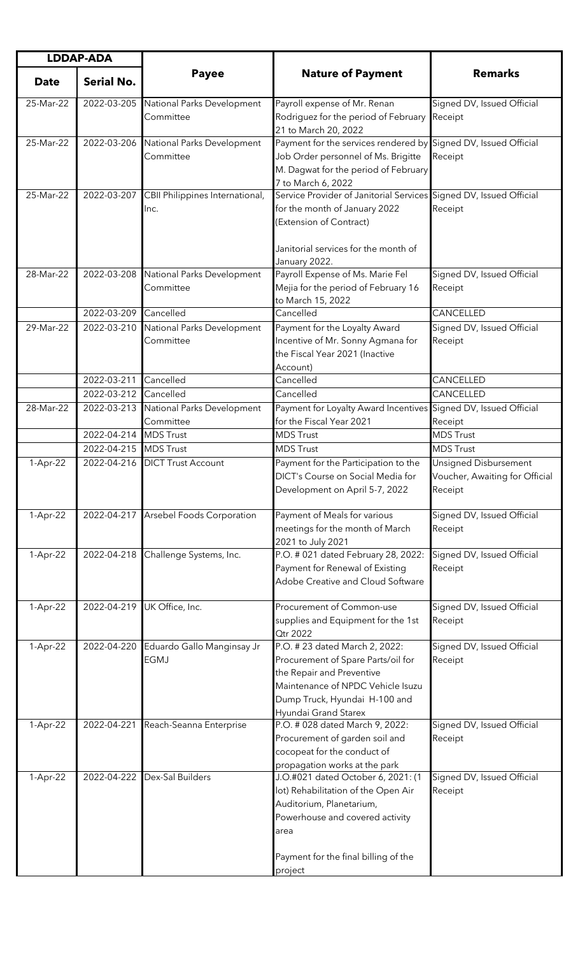| <b>LDDAP-ADA</b> |                       |                                           |                                                                                                                                                                                                     |                                                                    |
|------------------|-----------------------|-------------------------------------------|-----------------------------------------------------------------------------------------------------------------------------------------------------------------------------------------------------|--------------------------------------------------------------------|
| <b>Date</b>      | <b>Serial No.</b>     | <b>Payee</b>                              | <b>Nature of Payment</b>                                                                                                                                                                            | <b>Remarks</b>                                                     |
| 25-Mar-22        | 2022-03-205           | National Parks Development<br>Committee   | Payroll expense of Mr. Renan<br>Rodriguez for the period of February<br>21 to March 20, 2022                                                                                                        | Signed DV, Issued Official<br>Receipt                              |
| 25-Mar-22        | 2022-03-206           | National Parks Development<br>Committee   | Payment for the services rendered by Signed DV, Issued Official<br>Job Order personnel of Ms. Brigitte<br>M. Dagwat for the period of February<br>7 to March 6, 2022                                | Receipt                                                            |
| 25-Mar-22        | 2022-03-207           | CBII Philippines International,<br>Inc.   | Service Provider of Janitorial Services Signed DV, Issued Official<br>for the month of January 2022<br>(Extension of Contract)<br>Janitorial services for the month of                              | Receipt                                                            |
| 28-Mar-22        | 2022-03-208           | National Parks Development<br>Committee   | January 2022.<br>Payroll Expense of Ms. Marie Fel<br>Mejia for the period of February 16<br>to March 15, 2022                                                                                       | Signed DV, Issued Official<br>Receipt                              |
|                  | 2022-03-209           | Cancelled                                 | Cancelled                                                                                                                                                                                           | CANCELLED                                                          |
| 29-Mar-22        | 2022-03-210           | National Parks Development<br>Committee   | Payment for the Loyalty Award<br>Incentive of Mr. Sonny Agmana for<br>the Fiscal Year 2021 (Inactive<br>Account)                                                                                    | Signed DV, Issued Official<br>Receipt                              |
|                  | 2022-03-211           | Cancelled                                 | Cancelled                                                                                                                                                                                           | CANCELLED                                                          |
|                  | 2022-03-212           | Cancelled                                 | Cancelled                                                                                                                                                                                           | CANCELLED                                                          |
| 28-Mar-22        | 2022-03-213           | National Parks Development<br>Committee   | Payment for Loyalty Award Incentives Signed DV, Issued Official<br>for the Fiscal Year 2021                                                                                                         | Receipt                                                            |
|                  | 2022-04-214           | <b>MDS Trust</b>                          | <b>MDS Trust</b>                                                                                                                                                                                    | <b>MDS Trust</b>                                                   |
|                  | 2022-04-215 MDS Trust |                                           | <b>MDS Trust</b>                                                                                                                                                                                    | <b>MDS Trust</b>                                                   |
| 1-Apr-22         |                       | 2022-04-216 DICT Trust Account            | Payment for the Participation to the<br>DICT's Course on Social Media for<br>Development on April 5-7, 2022                                                                                         | Unsigned Disbursement<br>Voucher, Awaiting for Official<br>Receipt |
| 1-Apr-22         |                       | 2022-04-217 Arsebel Foods Corporation     | Payment of Meals for various<br>meetings for the month of March<br>2021 to July 2021                                                                                                                | Signed DV, Issued Official<br>Receipt                              |
| 1-Apr-22         | 2022-04-218           | Challenge Systems, Inc.                   | P.O. # 021 dated February 28, 2022:<br>Payment for Renewal of Existing<br>Adobe Creative and Cloud Software                                                                                         | Signed DV, Issued Official<br>Receipt                              |
| 1-Apr-22         | 2022-04-219           | UK Office, Inc.                           | Procurement of Common-use<br>supplies and Equipment for the 1st<br><b>Qtr 2022</b>                                                                                                                  | Signed DV, Issued Official<br>Receipt                              |
| 1-Apr-22         | 2022-04-220           | Eduardo Gallo Manginsay Jr<br><b>EGMJ</b> | P.O. # 23 dated March 2, 2022:<br>Procurement of Spare Parts/oil for<br>the Repair and Preventive<br>Maintenance of NPDC Vehicle Isuzu<br>Dump Truck, Hyundai H-100 and<br>Hyundai Grand Starex     | Signed DV, Issued Official<br>Receipt                              |
| 1-Apr-22         | 2022-04-221           | Reach-Seanna Enterprise                   | P.O. # 028 dated March 9, 2022:<br>Procurement of garden soil and<br>cocopeat for the conduct of<br>propagation works at the park                                                                   | Signed DV, Issued Official<br>Receipt                              |
| 1-Apr-22         | 2022-04-222           | Dex-Sal Builders                          | J.O.#021 dated October 6, 2021: (1<br>lot) Rehabilitation of the Open Air<br>Auditorium, Planetarium,<br>Powerhouse and covered activity<br>area<br>Payment for the final billing of the<br>project | Signed DV, Issued Official<br>Receipt                              |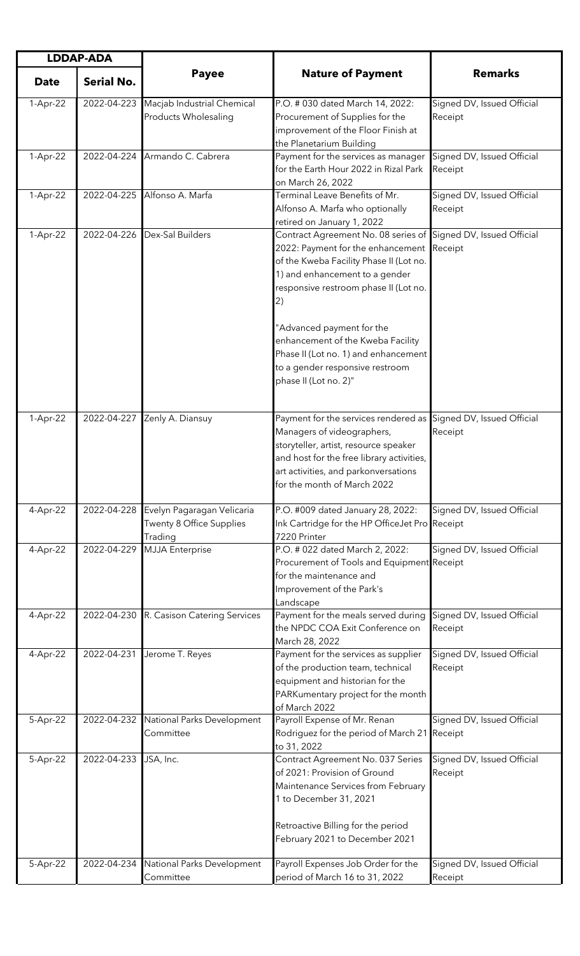| <b>LDDAP-ADA</b> |                   |                                                        |                                                                                                                                                                                                                                                                                                                                                                                                        |                                       |
|------------------|-------------------|--------------------------------------------------------|--------------------------------------------------------------------------------------------------------------------------------------------------------------------------------------------------------------------------------------------------------------------------------------------------------------------------------------------------------------------------------------------------------|---------------------------------------|
| <b>Date</b>      | <b>Serial No.</b> | <b>Payee</b>                                           | <b>Nature of Payment</b>                                                                                                                                                                                                                                                                                                                                                                               | <b>Remarks</b>                        |
| 1-Apr-22         | 2022-04-223       | Macjab Industrial Chemical<br>Products Wholesaling     | P.O. # 030 dated March 14, 2022:<br>Procurement of Supplies for the<br>improvement of the Floor Finish at<br>the Planetarium Building                                                                                                                                                                                                                                                                  | Signed DV, Issued Official<br>Receipt |
| 1-Apr-22         | 2022-04-224       | Armando C. Cabrera                                     | Payment for the services as manager<br>for the Earth Hour 2022 in Rizal Park<br>on March 26, 2022                                                                                                                                                                                                                                                                                                      | Signed DV, Issued Official<br>Receipt |
| 1-Apr-22         | 2022-04-225       | Alfonso A. Marfa                                       | Terminal Leave Benefits of Mr.<br>Alfonso A. Marfa who optionally<br>retired on January 1, 2022                                                                                                                                                                                                                                                                                                        | Signed DV, Issued Official<br>Receipt |
| 1-Apr-22         | 2022-04-226       | Dex-Sal Builders                                       | Contract Agreement No. 08 series of Signed DV, Issued Official<br>2022: Payment for the enhancement<br>of the Kweba Facility Phase II (Lot no.<br>1) and enhancement to a gender<br>responsive restroom phase II (Lot no.<br>(2)<br>"Advanced payment for the<br>enhancement of the Kweba Facility<br>Phase II (Lot no. 1) and enhancement<br>to a gender responsive restroom<br>phase II (Lot no. 2)" | Receipt                               |
| 1-Apr-22         | 2022-04-227       | Zenly A. Diansuy                                       | Payment for the services rendered as<br>Managers of videographers,<br>storyteller, artist, resource speaker<br>and host for the free library activities,<br>art activities, and parkonversations<br>for the month of March 2022                                                                                                                                                                        | Signed DV, Issued Official<br>Receipt |
| 4-Apr-22         | 2022-04-228       | Evelyn Pagaragan Velicaria<br>Twenty 8 Office Supplies | P.O. #009 dated January 28, 2022:<br>Ink Cartridge for the HP OfficeJet Pro Receipt<br>7220 Printer                                                                                                                                                                                                                                                                                                    | Signed DV, Issued Official            |
| 4-Apr-22         | 2022-04-229       | Trading<br><b>MJJA</b> Enterprise                      | P.O. # 022 dated March 2, 2022:<br>Procurement of Tools and Equipment Receipt<br>for the maintenance and<br>Improvement of the Park's<br>Landscape                                                                                                                                                                                                                                                     | Signed DV, Issued Official            |
| 4-Apr-22         |                   | 2022-04-230 R. Casison Catering Services               | Payment for the meals served during<br>the NPDC COA Exit Conference on<br>March 28, 2022                                                                                                                                                                                                                                                                                                               | Signed DV, Issued Official<br>Receipt |
| 4-Apr-22         | 2022-04-231       | Jerome T. Reyes                                        | Payment for the services as supplier<br>of the production team, technical<br>equipment and historian for the<br>PARKumentary project for the month<br>of March 2022                                                                                                                                                                                                                                    | Signed DV, Issued Official<br>Receipt |
| 5-Apr-22         | 2022-04-232       | National Parks Development<br>Committee                | Payroll Expense of Mr. Renan<br>Rodriguez for the period of March 21<br>to 31, 2022                                                                                                                                                                                                                                                                                                                    | Signed DV, Issued Official<br>Receipt |
| 5-Apr-22         | 2022-04-233       | JSA, Inc.                                              | Contract Agreement No. 037 Series<br>of 2021: Provision of Ground<br>Maintenance Services from February<br>1 to December 31, 2021<br>Retroactive Billing for the period<br>February 2021 to December 2021                                                                                                                                                                                              | Signed DV, Issued Official<br>Receipt |
| 5-Apr-22         | 2022-04-234       | National Parks Development<br>Committee                | Payroll Expenses Job Order for the<br>period of March 16 to 31, 2022                                                                                                                                                                                                                                                                                                                                   | Signed DV, Issued Official<br>Receipt |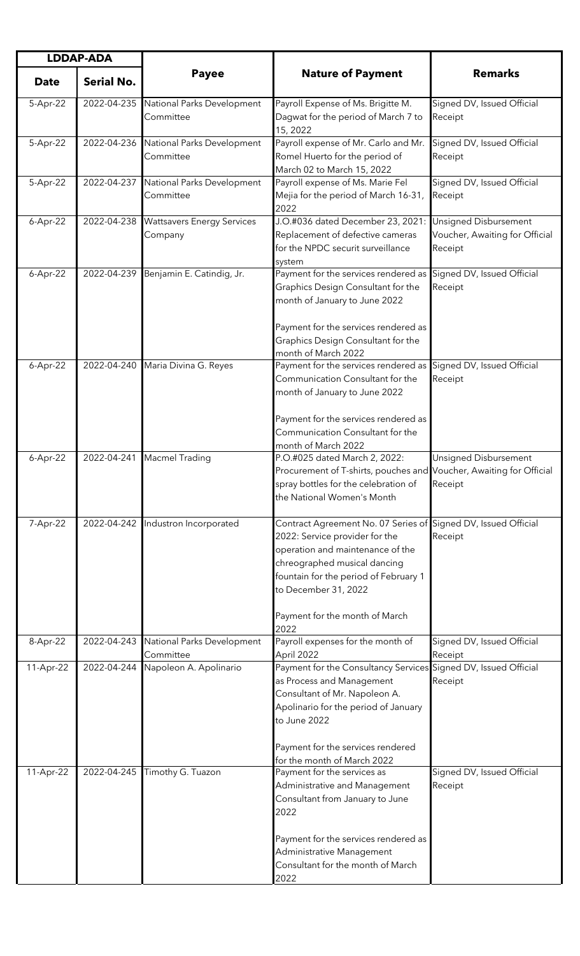| <b>LDDAP-ADA</b> |                   |                                              |                                                                                                                                                                                                                                                                                 |                                                                    |
|------------------|-------------------|----------------------------------------------|---------------------------------------------------------------------------------------------------------------------------------------------------------------------------------------------------------------------------------------------------------------------------------|--------------------------------------------------------------------|
| <b>Date</b>      | <b>Serial No.</b> | <b>Payee</b>                                 | <b>Nature of Payment</b>                                                                                                                                                                                                                                                        | <b>Remarks</b>                                                     |
| 5-Apr-22         | 2022-04-235       | National Parks Development<br>Committee      | Payroll Expense of Ms. Brigitte M.<br>Dagwat for the period of March 7 to<br>15, 2022                                                                                                                                                                                           | Signed DV, Issued Official<br>Receipt                              |
| 5-Apr-22         | 2022-04-236       | National Parks Development<br>Committee      | Payroll expense of Mr. Carlo and Mr.<br>Romel Huerto for the period of<br>March 02 to March 15, 2022                                                                                                                                                                            | Signed DV, Issued Official<br>Receipt                              |
| 5-Apr-22         | 2022-04-237       | National Parks Development<br>Committee      | Payroll expense of Ms. Marie Fel<br>Mejia for the period of March 16-31,<br>2022                                                                                                                                                                                                | Signed DV, Issued Official<br>Receipt                              |
| 6-Apr-22         | 2022-04-238       | <b>Wattsavers Energy Services</b><br>Company | J.O.#036 dated December 23, 2021:<br>Replacement of defective cameras<br>for the NPDC securit surveillance<br>system                                                                                                                                                            | Unsigned Disbursement<br>Voucher, Awaiting for Official<br>Receipt |
| $6-Apr-22$       | 2022-04-239       | Benjamin E. Catindig, Jr.                    | Payment for the services rendered as<br>Graphics Design Consultant for the<br>month of January to June 2022<br>Payment for the services rendered as<br>Graphics Design Consultant for the<br>month of March 2022                                                                | Signed DV, Issued Official<br>Receipt                              |
| $6-Apr-22$       | 2022-04-240       | Maria Divina G. Reyes                        | Payment for the services rendered as<br>Communication Consultant for the<br>month of January to June 2022<br>Payment for the services rendered as<br>Communication Consultant for the<br>month of March 2022                                                                    | Signed DV, Issued Official<br>Receipt                              |
| 6-Apr-22         | 2022-04-241       | <b>Macmel Trading</b>                        | P.O.#025 dated March 2, 2022:<br>Procurement of T-shirts, pouches and Voucher, Awaiting for Official<br>spray bottles for the celebration of<br>the National Women's Month                                                                                                      | <b>Unsigned Disbursement</b><br>Receipt                            |
| 7-Apr-22         | 2022-04-242       | Industron Incorporated                       | Contract Agreement No. 07 Series of Signed DV, Issued Official<br>2022: Service provider for the<br>operation and maintenance of the<br>chreographed musical dancing<br>fountain for the period of February 1<br>to December 31, 2022<br>Payment for the month of March<br>2022 | Receipt                                                            |
| 8-Apr-22         | 2022-04-243       | National Parks Development<br>Committee      | Payroll expenses for the month of<br>April 2022                                                                                                                                                                                                                                 | Signed DV, Issued Official<br>Receipt                              |
| 11-Apr-22        | 2022-04-244       | Napoleon A. Apolinario                       | Payment for the Consultancy Services Signed DV, Issued Official<br>as Process and Management<br>Consultant of Mr. Napoleon A.<br>Apolinario for the period of January<br>to June 2022<br>Payment for the services rendered<br>for the month of March 2022                       | Receipt                                                            |
| 11-Apr-22        | 2022-04-245       | Timothy G. Tuazon                            | Payment for the services as<br>Administrative and Management<br>Consultant from January to June<br>2022<br>Payment for the services rendered as<br>Administrative Management<br>Consultant for the month of March<br>2022                                                       | Signed DV, Issued Official<br>Receipt                              |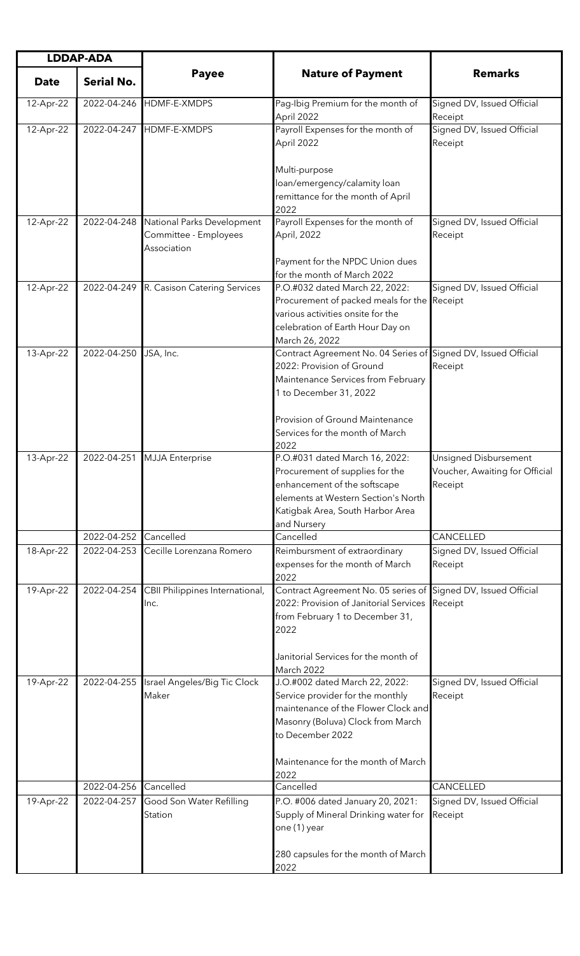| <b>LDDAP-ADA</b> |                   |                                                                    |                                                                                                                                                                                                                                   |                                                                    |
|------------------|-------------------|--------------------------------------------------------------------|-----------------------------------------------------------------------------------------------------------------------------------------------------------------------------------------------------------------------------------|--------------------------------------------------------------------|
| <b>Date</b>      | <b>Serial No.</b> | <b>Payee</b>                                                       | <b>Nature of Payment</b>                                                                                                                                                                                                          | <b>Remarks</b>                                                     |
| 12-Apr-22        | 2022-04-246       | HDMF-E-XMDPS                                                       | Pag-Ibig Premium for the month of<br>April 2022                                                                                                                                                                                   | Signed DV, Issued Official<br>Receipt                              |
| 12-Apr-22        | 2022-04-247       | HDMF-E-XMDPS                                                       | Payroll Expenses for the month of<br>April 2022                                                                                                                                                                                   | Signed DV, Issued Official<br>Receipt                              |
|                  |                   |                                                                    | Multi-purpose<br>loan/emergency/calamity loan<br>remittance for the month of April<br>2022                                                                                                                                        |                                                                    |
| 12-Apr-22        | 2022-04-248       | National Parks Development<br>Committee - Employees<br>Association | Payroll Expenses for the month of<br>April, 2022<br>Payment for the NPDC Union dues                                                                                                                                               | Signed DV, Issued Official<br>Receipt                              |
|                  |                   |                                                                    | for the month of March 2022                                                                                                                                                                                                       |                                                                    |
| 12-Apr-22        | 2022-04-249       | R. Casison Catering Services                                       | P.O.#032 dated March 22, 2022:<br>Procurement of packed meals for the<br>various activities onsite for the<br>celebration of Earth Hour Day on<br>March 26, 2022                                                                  | Signed DV, Issued Official<br>Receipt                              |
| 13-Apr-22        | 2022-04-250       | JSA, Inc.                                                          | Contract Agreement No. 04 Series of Signed DV, Issued Official<br>2022: Provision of Ground<br>Maintenance Services from February<br>1 to December 31, 2022<br>Provision of Ground Maintenance<br>Services for the month of March | Receipt                                                            |
| 13-Apr-22        | 2022-04-251       | <b>MJJA</b> Enterprise                                             | 2022<br>P.O.#031 dated March 16, 2022:<br>Procurement of supplies for the<br>enhancement of the softscape<br>elements at Western Section's North<br>Katigbak Area, South Harbor Area<br>and Nursery                               | Unsigned Disbursement<br>Voucher, Awaiting for Official<br>Receipt |
|                  | 2022-04-252       | Cancelled                                                          | Cancelled                                                                                                                                                                                                                         | CANCELLED                                                          |
| 18-Apr-22        | 2022-04-253       | Cecille Lorenzana Romero                                           | Reimbursment of extraordinary<br>expenses for the month of March<br>2022                                                                                                                                                          | Signed DV, Issued Official<br>Receipt                              |
| 19-Apr-22        | 2022-04-254       | CBII Philippines International,<br>Inc.                            | Contract Agreement No. 05 series of Signed DV, Issued Official<br>2022: Provision of Janitorial Services<br>from February 1 to December 31,<br>2022<br>Janitorial Services for the month of<br>March 2022                         | Receipt                                                            |
| 19-Apr-22        | 2022-04-255       | Israel Angeles/Big Tic Clock<br>Maker                              | J.O.#002 dated March 22, 2022:<br>Service provider for the monthly<br>maintenance of the Flower Clock and<br>Masonry (Boluva) Clock from March<br>to December 2022<br>Maintenance for the month of March<br>2022                  | Signed DV, Issued Official<br>Receipt                              |
|                  | 2022-04-256       | Cancelled                                                          | Cancelled                                                                                                                                                                                                                         | CANCELLED                                                          |
| 19-Apr-22        | 2022-04-257       | Good Son Water Refilling<br>Station                                | P.O. #006 dated January 20, 2021:<br>Supply of Mineral Drinking water for<br>one (1) year<br>280 capsules for the month of March                                                                                                  | Signed DV, Issued Official<br>Receipt                              |
|                  |                   |                                                                    | 2022                                                                                                                                                                                                                              |                                                                    |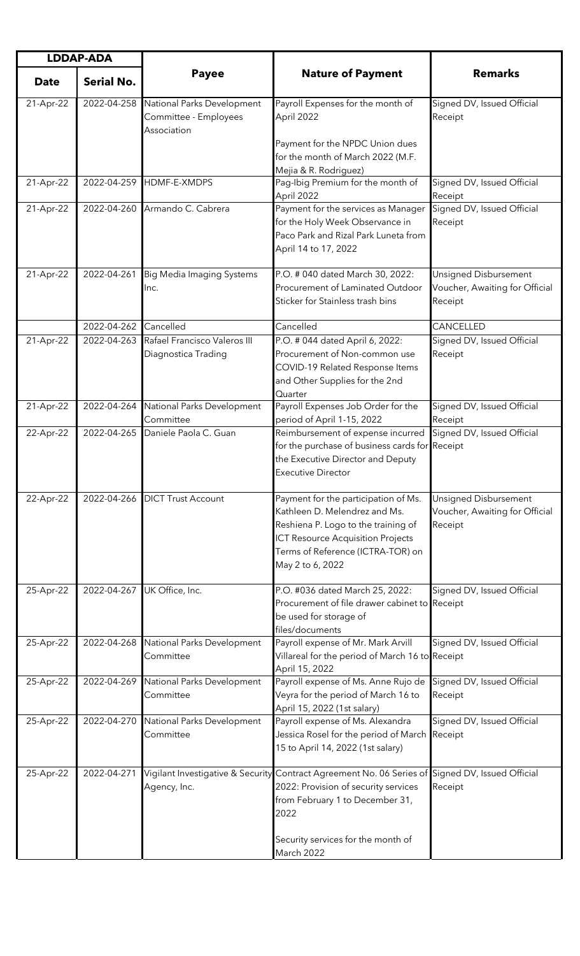| <b>LDDAP-ADA</b> |                   |                                                                    |                                                                                                                                                                                                                   |                                                                           |
|------------------|-------------------|--------------------------------------------------------------------|-------------------------------------------------------------------------------------------------------------------------------------------------------------------------------------------------------------------|---------------------------------------------------------------------------|
| <b>Date</b>      | <b>Serial No.</b> | <b>Payee</b>                                                       | <b>Nature of Payment</b>                                                                                                                                                                                          | <b>Remarks</b>                                                            |
| 21-Apr-22        | 2022-04-258       | National Parks Development<br>Committee - Employees<br>Association | Payroll Expenses for the month of<br>April 2022                                                                                                                                                                   | Signed DV, Issued Official<br>Receipt                                     |
|                  |                   |                                                                    | Payment for the NPDC Union dues<br>for the month of March 2022 (M.F.<br>Mejia & R. Rodriguez)                                                                                                                     |                                                                           |
| 21-Apr-22        |                   | 2022-04-259 HDMF-E-XMDPS                                           | Pag-Ibig Premium for the month of<br>April 2022                                                                                                                                                                   | Signed DV, Issued Official<br>Receipt                                     |
| 21-Apr-22        | 2022-04-260       | Armando C. Cabrera                                                 | Payment for the services as Manager<br>for the Holy Week Observance in<br>Paco Park and Rizal Park Luneta from<br>April 14 to 17, 2022                                                                            | Signed DV, Issued Official<br>Receipt                                     |
| 21-Apr-22        | 2022-04-261       | <b>Big Media Imaging Systems</b><br>Inc.                           | P.O. # 040 dated March 30, 2022:<br>Procurement of Laminated Outdoor<br>Sticker for Stainless trash bins                                                                                                          | <b>Unsigned Disbursement</b><br>Voucher, Awaiting for Official<br>Receipt |
|                  | 2022-04-262       | Cancelled                                                          | Cancelled                                                                                                                                                                                                         | CANCELLED                                                                 |
| 21-Apr-22        | 2022-04-263       | Rafael Francisco Valeros III<br>Diagnostica Trading                | P.O. # 044 dated April 6, 2022:<br>Procurement of Non-common use<br>COVID-19 Related Response Items<br>and Other Supplies for the 2nd<br>Quarter                                                                  | Signed DV, Issued Official<br>Receipt                                     |
| 21-Apr-22        | 2022-04-264       | National Parks Development<br>Committee                            | Payroll Expenses Job Order for the<br>period of April 1-15, 2022                                                                                                                                                  | Signed DV, Issued Official<br>Receipt                                     |
| 22-Apr-22        | 2022-04-265       | Daniele Paola C. Guan                                              | Reimbursement of expense incurred<br>for the purchase of business cards for Receipt<br>the Executive Director and Deputy<br>Executive Director                                                                    | Signed DV, Issued Official                                                |
| 22-Apr-22        |                   | 2022-04-266 DICT Trust Account                                     | Payment for the participation of Ms.<br>Kathleen D. Melendrez and Ms.<br>Reshiena P. Logo to the training of<br><b>ICT Resource Acquisition Projects</b><br>Terms of Reference (ICTRA-TOR) on<br>May 2 to 6, 2022 | Unsigned Disbursement<br>Voucher, Awaiting for Official<br>Receipt        |
| 25-Apr-22        | 2022-04-267       | UK Office, Inc.                                                    | P.O. #036 dated March 25, 2022:<br>Procurement of file drawer cabinet to Receipt<br>be used for storage of<br>files/documents                                                                                     | Signed DV, Issued Official                                                |
| 25-Apr-22        | 2022-04-268       | National Parks Development<br>Committee                            | Payroll expense of Mr. Mark Arvill<br>Villareal for the period of March 16 to Receipt<br>April 15, 2022                                                                                                           | Signed DV, Issued Official                                                |
| 25-Apr-22        | 2022-04-269       | National Parks Development<br>Committee                            | Payroll expense of Ms. Anne Rujo de<br>Veyra for the period of March 16 to<br>April 15, 2022 (1st salary)                                                                                                         | Signed DV, Issued Official<br>Receipt                                     |
| 25-Apr-22        | 2022-04-270       | National Parks Development<br>Committee                            | Payroll expense of Ms. Alexandra<br>Jessica Rosel for the period of March<br>15 to April 14, 2022 (1st salary)                                                                                                    | Signed DV, Issued Official<br>Receipt                                     |
| 25-Apr-22        | 2022-04-271       | Agency, Inc.                                                       | Vigilant Investigative & Security Contract Agreement No. 06 Series of Signed DV, Issued Official<br>2022: Provision of security services<br>from February 1 to December 31,<br>2022                               | Receipt                                                                   |
|                  |                   |                                                                    | Security services for the month of<br>March 2022                                                                                                                                                                  |                                                                           |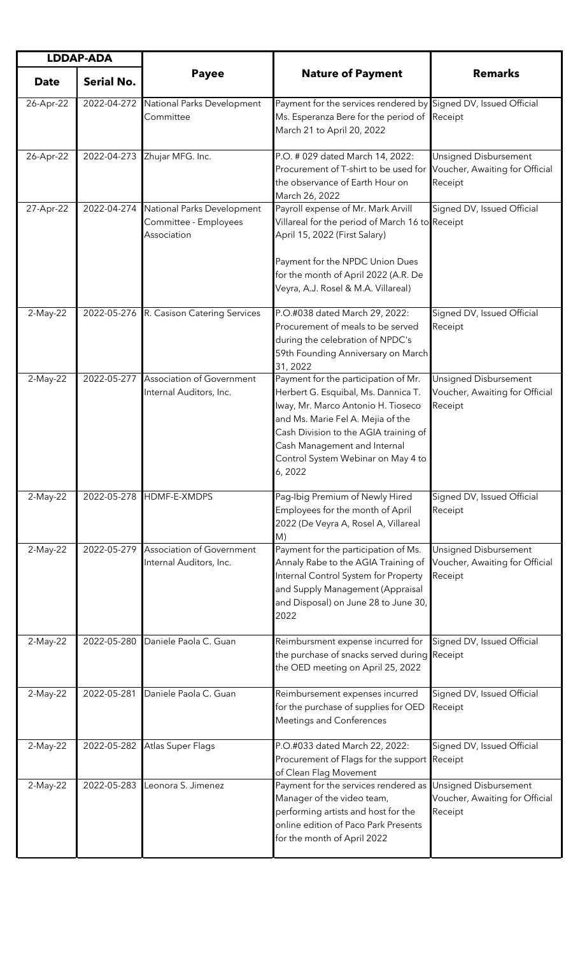| <b>LDDAP-ADA</b> |                   |                                                                    |                                                                                                                                                                                                                                                                                 |                                                                           |
|------------------|-------------------|--------------------------------------------------------------------|---------------------------------------------------------------------------------------------------------------------------------------------------------------------------------------------------------------------------------------------------------------------------------|---------------------------------------------------------------------------|
| <b>Date</b>      | <b>Serial No.</b> | <b>Payee</b>                                                       | <b>Nature of Payment</b>                                                                                                                                                                                                                                                        | <b>Remarks</b>                                                            |
| 26-Apr-22        | 2022-04-272       | National Parks Development<br>Committee                            | Payment for the services rendered by Signed DV, Issued Official<br>Ms. Esperanza Bere for the period of<br>March 21 to April 20, 2022                                                                                                                                           | Receipt                                                                   |
| 26-Apr-22        | 2022-04-273       | Zhujar MFG. Inc.                                                   | P.O. # 029 dated March 14, 2022:<br>Procurement of T-shirt to be used for<br>the observance of Earth Hour on<br>March 26, 2022                                                                                                                                                  | <b>Unsigned Disbursement</b><br>Voucher, Awaiting for Official<br>Receipt |
| 27-Apr-22        | 2022-04-274       | National Parks Development<br>Committee - Employees<br>Association | Payroll expense of Mr. Mark Arvill<br>Villareal for the period of March 16 to Receipt<br>April 15, 2022 (First Salary)<br>Payment for the NPDC Union Dues<br>for the month of April 2022 (A.R. De<br>Veyra, A.J. Rosel & M.A. Villareal)                                        | Signed DV, Issued Official                                                |
| 2-May-22         |                   | 2022-05-276 R. Casison Catering Services                           | P.O.#038 dated March 29, 2022:<br>Procurement of meals to be served<br>during the celebration of NPDC's<br>59th Founding Anniversary on March<br>31, 2022                                                                                                                       | Signed DV, Issued Official<br>Receipt                                     |
| 2-May-22         | 2022-05-277       | <b>Association of Government</b><br>Internal Auditors, Inc.        | Payment for the participation of Mr.<br>Herbert G. Esquibal, Ms. Dannica T.<br>Iway, Mr. Marco Antonio H. Tioseco<br>and Ms. Marie Fel A. Mejia of the<br>Cash Division to the AGIA training of<br>Cash Management and Internal<br>Control System Webinar on May 4 to<br>6,2022 | Unsigned Disbursement<br>Voucher, Awaiting for Official<br>Receipt        |
| 2-May-22         | 2022-05-278       | HDMF-E-XMDPS                                                       | Pag-Ibig Premium of Newly Hired<br>Employees for the month of April<br>2022 (De Veyra A, Rosel A, Villareal<br>M)                                                                                                                                                               | Signed DV, Issued Official<br>Receipt                                     |
| 2-May-22         | 2022-05-279       | Association of Government<br>Internal Auditors, Inc.               | Payment for the participation of Ms.<br>Annaly Rabe to the AGIA Training of<br>Internal Control System for Property<br>and Supply Management (Appraisal<br>and Disposal) on June 28 to June 30,<br>2022                                                                         | Unsigned Disbursement<br>Voucher, Awaiting for Official<br>Receipt        |
| 2-May-22         | 2022-05-280       | Daniele Paola C. Guan                                              | Reimbursment expense incurred for<br>the purchase of snacks served during Receipt<br>the OED meeting on April 25, 2022                                                                                                                                                          | Signed DV, Issued Official                                                |
| 2-May-22         | 2022-05-281       | Daniele Paola C. Guan                                              | Reimbursement expenses incurred<br>for the purchase of supplies for OED<br>Meetings and Conferences                                                                                                                                                                             | Signed DV, Issued Official<br>Receipt                                     |
| 2-May-22         | 2022-05-282       | Atlas Super Flags                                                  | P.O.#033 dated March 22, 2022:<br>Procurement of Flags for the support Receipt<br>of Clean Flag Movement                                                                                                                                                                        | Signed DV, Issued Official                                                |
| 2-May-22         | 2022-05-283       | Leonora S. Jimenez                                                 | Payment for the services rendered as<br>Manager of the video team,<br>performing artists and host for the<br>online edition of Paco Park Presents<br>for the month of April 2022                                                                                                | <b>Unsigned Disbursement</b><br>Voucher, Awaiting for Official<br>Receipt |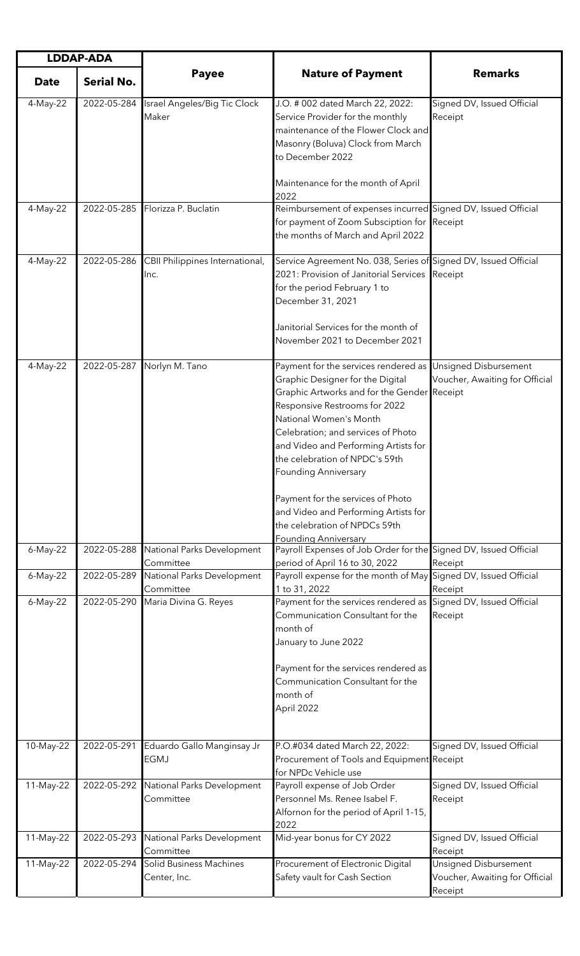| <b>LDDAP-ADA</b> |                   |                                                |                                                                                                                                                                                                                                                                                                                            |                                                                    |
|------------------|-------------------|------------------------------------------------|----------------------------------------------------------------------------------------------------------------------------------------------------------------------------------------------------------------------------------------------------------------------------------------------------------------------------|--------------------------------------------------------------------|
| <b>Date</b>      | <b>Serial No.</b> | <b>Payee</b>                                   | <b>Nature of Payment</b>                                                                                                                                                                                                                                                                                                   | <b>Remarks</b>                                                     |
| 4-May-22         | 2022-05-284       | Israel Angeles/Big Tic Clock<br>Maker          | J.O. # 002 dated March 22, 2022:<br>Service Provider for the monthly<br>maintenance of the Flower Clock and<br>Masonry (Boluva) Clock from March<br>to December 2022                                                                                                                                                       | Signed DV, Issued Official<br>Receipt                              |
|                  |                   |                                                | Maintenance for the month of April<br>2022                                                                                                                                                                                                                                                                                 |                                                                    |
| 4-May-22         | 2022-05-285       | Florizza P. Buclatin                           | Reimbursement of expenses incurred Signed DV, Issued Official<br>for payment of Zoom Subsciption for Receipt<br>the months of March and April 2022                                                                                                                                                                         |                                                                    |
| 4-May-22         | 2022-05-286       | CBII Philippines International,<br>Inc.        | Service Agreement No. 038, Series of Signed DV, Issued Official<br>2021: Provision of Janitorial Services Receipt<br>for the period February 1 to<br>December 31, 2021                                                                                                                                                     |                                                                    |
|                  |                   |                                                | Janitorial Services for the month of<br>November 2021 to December 2021                                                                                                                                                                                                                                                     |                                                                    |
| 4-May-22         | 2022-05-287       | Norlyn M. Tano                                 | Payment for the services rendered as<br>Graphic Designer for the Digital<br>Graphic Artworks and for the Gender Receipt<br>Responsive Restrooms for 2022<br>National Women's Month<br>Celebration; and services of Photo<br>and Video and Performing Artists for<br>the celebration of NPDC's 59th<br>Founding Anniversary | Unsigned Disbursement<br>Voucher, Awaiting for Official            |
|                  |                   |                                                | Payment for the services of Photo<br>and Video and Performing Artists for<br>the celebration of NPDCs 59th                                                                                                                                                                                                                 |                                                                    |
| 6-May-22         | 2022-05-288       | National Parks Development<br>Committee        | Founding Anniversary<br>Payroll Expenses of Job Order for the Signed DV, Issued Official<br>period of April 16 to 30, 2022                                                                                                                                                                                                 | Receipt                                                            |
| 6-May-22         | 2022-05-289       | National Parks Development<br>Committee        | Payroll expense for the month of May Signed DV, Issued Official<br>1 to 31, 2022                                                                                                                                                                                                                                           | Receipt                                                            |
| 6-May-22         | 2022-05-290       | Maria Divina G. Reyes                          | Payment for the services rendered as Signed DV, Issued Official<br>Communication Consultant for the<br>month of<br>January to June 2022<br>Payment for the services rendered as<br>Communication Consultant for the<br>month of<br>April 2022                                                                              | Receipt                                                            |
| 10-May-22        | 2022-05-291       | Eduardo Gallo Manginsay Jr<br><b>EGMJ</b>      | P.O.#034 dated March 22, 2022:<br>Procurement of Tools and Equipment Receipt                                                                                                                                                                                                                                               | Signed DV, Issued Official                                         |
| 11-May-22        | 2022-05-292       | National Parks Development<br>Committee        | for NPDc Vehicle use<br>Payroll expense of Job Order<br>Personnel Ms. Renee Isabel F.<br>Alfornon for the period of April 1-15,<br>2022                                                                                                                                                                                    | Signed DV, Issued Official<br>Receipt                              |
| 11-May-22        | 2022-05-293       | National Parks Development<br>Committee        | Mid-year bonus for CY 2022                                                                                                                                                                                                                                                                                                 | Signed DV, Issued Official<br>Receipt                              |
| 11-May-22        | 2022-05-294       | <b>Solid Business Machines</b><br>Center, Inc. | Procurement of Electronic Digital<br>Safety vault for Cash Section                                                                                                                                                                                                                                                         | Unsigned Disbursement<br>Voucher, Awaiting for Official<br>Receipt |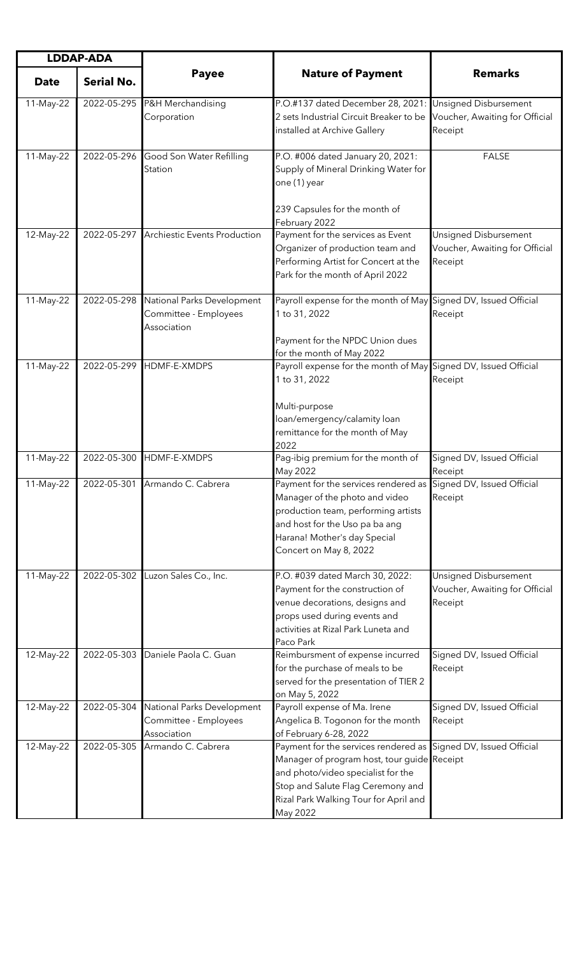| <b>LDDAP-ADA</b> |                   |                                                                    |                                                                                                                                                                                                                                                |                                                                    |
|------------------|-------------------|--------------------------------------------------------------------|------------------------------------------------------------------------------------------------------------------------------------------------------------------------------------------------------------------------------------------------|--------------------------------------------------------------------|
| <b>Date</b>      | <b>Serial No.</b> | <b>Payee</b>                                                       | <b>Nature of Payment</b>                                                                                                                                                                                                                       | <b>Remarks</b>                                                     |
| 11-May-22        | 2022-05-295       | P&H Merchandising<br>Corporation                                   | P.O.#137 dated December 28, 2021:<br>2 sets Industrial Circuit Breaker to be<br>installed at Archive Gallery                                                                                                                                   | Unsigned Disbursement<br>Voucher, Awaiting for Official<br>Receipt |
| 11-May-22        | 2022-05-296       | Good Son Water Refilling<br>Station                                | P.O. #006 dated January 20, 2021:<br>Supply of Mineral Drinking Water for<br>one (1) year                                                                                                                                                      | <b>FALSE</b>                                                       |
| 12-May-22        | 2022-05-297       | <b>Archiestic Events Production</b>                                | 239 Capsules for the month of<br>February 2022<br>Payment for the services as Event<br>Organizer of production team and<br>Performing Artist for Concert at the<br>Park for the month of April 2022                                            | Unsigned Disbursement<br>Voucher, Awaiting for Official<br>Receipt |
| 11-May-22        | 2022-05-298       | National Parks Development<br>Committee - Employees<br>Association | Payroll expense for the month of May Signed DV, Issued Official<br>1 to 31, 2022<br>Payment for the NPDC Union dues<br>for the month of May 2022                                                                                               | Receipt                                                            |
| 11-May-22        | 2022-05-299       | HDMF-E-XMDPS                                                       | Payroll expense for the month of May Signed DV, Issued Official<br>1 to 31, 2022<br>Multi-purpose<br>loan/emergency/calamity loan<br>remittance for the month of May<br>2022                                                                   | Receipt                                                            |
| 11-May-22        | 2022-05-300       | HDMF-E-XMDPS                                                       | Pag-ibig premium for the month of<br>May 2022                                                                                                                                                                                                  | Signed DV, Issued Official<br>Receipt                              |
| 11-May-22        | 2022-05-301       | Armando C. Cabrera                                                 | Payment for the services rendered as Signed DV, Issued Official<br>Manager of the photo and video<br>production team, performing artists<br>and host for the Uso pa ba ang<br>Harana! Mother's day Special<br>Concert on May 8, 2022           | Receipt                                                            |
| 11-May-22        | 2022-05-302       | Luzon Sales Co., Inc.                                              | P.O. #039 dated March 30, 2022:<br>Payment for the construction of<br>venue decorations, designs and<br>props used during events and<br>activities at Rizal Park Luneta and<br>Paco Park                                                       | Unsigned Disbursement<br>Voucher, Awaiting for Official<br>Receipt |
| 12-May-22        | 2022-05-303       | Daniele Paola C. Guan                                              | Reimbursment of expense incurred<br>for the purchase of meals to be<br>served for the presentation of TIER 2<br>on May 5, 2022                                                                                                                 | Signed DV, Issued Official<br>Receipt                              |
| 12-May-22        | 2022-05-304       | National Parks Development<br>Committee - Employees<br>Association | Payroll expense of Ma. Irene<br>Angelica B. Togonon for the month<br>of February 6-28, 2022                                                                                                                                                    | Signed DV, Issued Official<br>Receipt                              |
| 12-May-22        | 2022-05-305       | Armando C. Cabrera                                                 | Payment for the services rendered as Signed DV, Issued Official<br>Manager of program host, tour guide Receipt<br>and photo/video specialist for the<br>Stop and Salute Flag Ceremony and<br>Rizal Park Walking Tour for April and<br>May 2022 |                                                                    |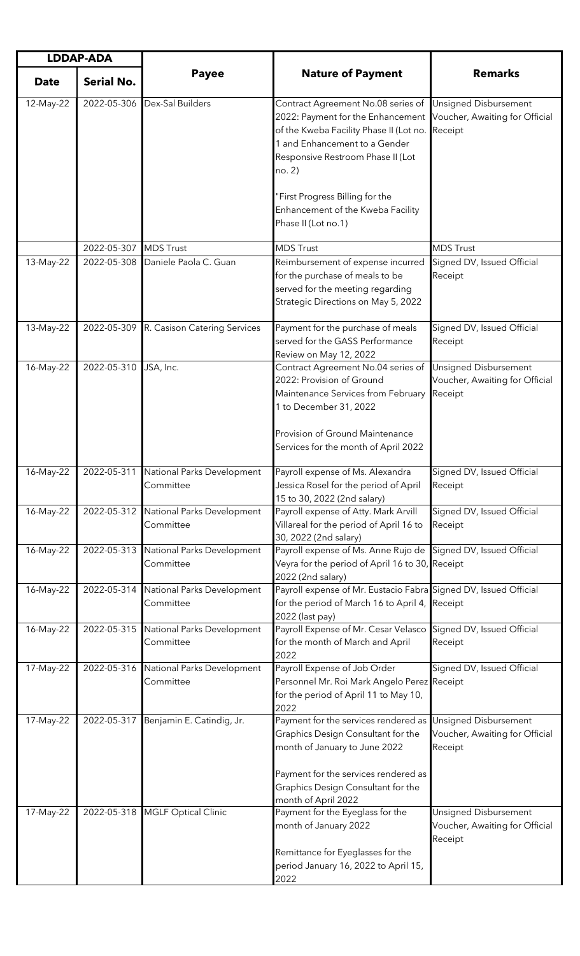| <b>LDDAP-ADA</b> |                       |                                                     |                                                                                                                                                                                                                  |                                                                           |
|------------------|-----------------------|-----------------------------------------------------|------------------------------------------------------------------------------------------------------------------------------------------------------------------------------------------------------------------|---------------------------------------------------------------------------|
| <b>Date</b>      | <b>Serial No.</b>     | <b>Payee</b>                                        | <b>Nature of Payment</b>                                                                                                                                                                                         | <b>Remarks</b>                                                            |
| 12-May-22        | 2022-05-306           | Dex-Sal Builders                                    | Contract Agreement No.08 series of<br>2022: Payment for the Enhancement<br>of the Kweba Facility Phase II (Lot no.<br>1 and Enhancement to a Gender<br>Responsive Restroom Phase II (Lot<br>no. 2)               | Unsigned Disbursement<br>Voucher, Awaiting for Official<br>Receipt        |
|                  |                       |                                                     | "First Progress Billing for the<br>Enhancement of the Kweba Facility<br>Phase II (Lot no.1)                                                                                                                      |                                                                           |
|                  | 2022-05-307 MDS Trust |                                                     | <b>MDS Trust</b>                                                                                                                                                                                                 | <b>MDS Trust</b>                                                          |
| 13-May-22        | 2022-05-308           | Daniele Paola C. Guan                               | Reimbursement of expense incurred<br>for the purchase of meals to be<br>served for the meeting regarding<br>Strategic Directions on May 5, 2022                                                                  | Signed DV, Issued Official<br>Receipt                                     |
| 13-May-22        |                       | 2022-05-309 R. Casison Catering Services            | Payment for the purchase of meals<br>served for the GASS Performance<br>Review on May 12, 2022                                                                                                                   | Signed DV, Issued Official<br>Receipt                                     |
| 16-May-22        | 2022-05-310           | JSA, Inc.                                           | Contract Agreement No.04 series of<br>2022: Provision of Ground<br>Maintenance Services from February<br>1 to December 31, 2022<br>Provision of Ground Maintenance                                               | Unsigned Disbursement<br>Voucher, Awaiting for Official<br>Receipt        |
|                  |                       |                                                     | Services for the month of April 2022                                                                                                                                                                             |                                                                           |
| 16-May-22        |                       | 2022-05-311 National Parks Development<br>Committee | Payroll expense of Ms. Alexandra<br>Jessica Rosel for the period of April<br>15 to 30, 2022 (2nd salary)                                                                                                         | Signed DV, Issued Official<br>Receipt                                     |
| 16-May-22        | 2022-05-312           | National Parks Development<br>Committee             | Payroll expense of Atty. Mark Arvill<br>Villareal for the period of April 16 to<br>30, 2022 (2nd salary)                                                                                                         | Signed DV, Issued Official<br>Receipt                                     |
| 16-May-22        | 2022-05-313           | National Parks Development<br>Committee             | Payroll expense of Ms. Anne Rujo de<br>Veyra for the period of April 16 to 30, Receipt<br>2022 (2nd salary)                                                                                                      | Signed DV, Issued Official                                                |
| 16-May-22        | 2022-05-314           | National Parks Development<br>Committee             | Payroll expense of Mr. Eustacio Fabra Signed DV, Issued Official<br>for the period of March 16 to April 4,<br>2022 (last pay)                                                                                    | Receipt                                                                   |
| 16-May-22        | 2022-05-315           | National Parks Development<br>Committee             | Payroll Expense of Mr. Cesar Velasco<br>for the month of March and April<br>2022                                                                                                                                 | Signed DV, Issued Official<br>Receipt                                     |
| 17-May-22        | 2022-05-316           | National Parks Development<br>Committee             | Payroll Expense of Job Order<br>Personnel Mr. Roi Mark Angelo Perez Receipt<br>for the period of April 11 to May 10,<br>2022                                                                                     | Signed DV, Issued Official                                                |
| 17-May-22        | 2022-05-317           | Benjamin E. Catindig, Jr.                           | Payment for the services rendered as<br>Graphics Design Consultant for the<br>month of January to June 2022<br>Payment for the services rendered as<br>Graphics Design Consultant for the<br>month of April 2022 | <b>Unsigned Disbursement</b><br>Voucher, Awaiting for Official<br>Receipt |
| 17-May-22        | 2022-05-318           | <b>MGLF Optical Clinic</b>                          | Payment for the Eyeglass for the<br>month of January 2022<br>Remittance for Eyeglasses for the<br>period January 16, 2022 to April 15,<br>2022                                                                   | Unsigned Disbursement<br>Voucher, Awaiting for Official<br>Receipt        |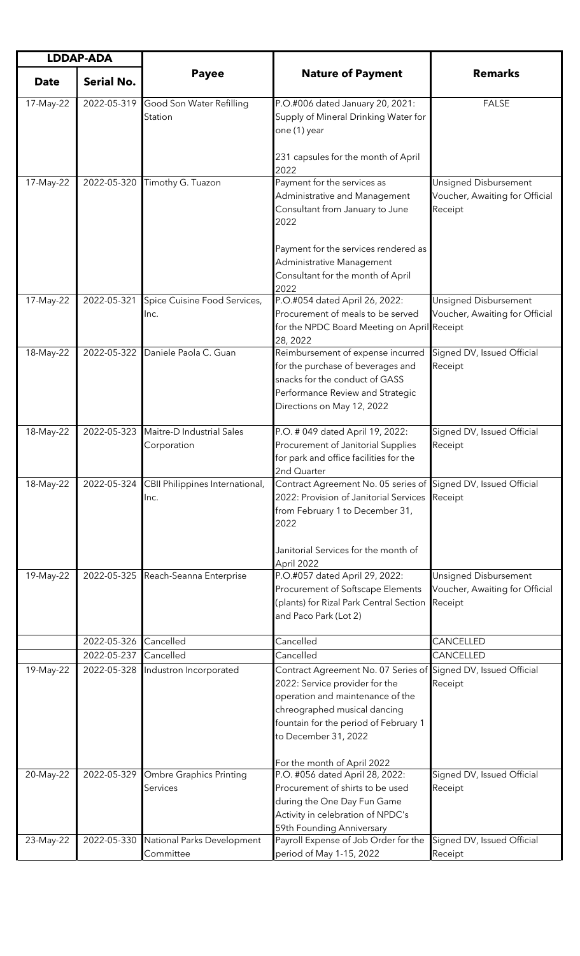| <b>LDDAP-ADA</b> |                            |                                          |                                                                                                                                                                                                                         |                                                                    |
|------------------|----------------------------|------------------------------------------|-------------------------------------------------------------------------------------------------------------------------------------------------------------------------------------------------------------------------|--------------------------------------------------------------------|
| <b>Date</b>      | <b>Serial No.</b>          | <b>Payee</b>                             | <b>Nature of Payment</b>                                                                                                                                                                                                | <b>Remarks</b>                                                     |
| 17-May-22        | 2022-05-319                | Good Son Water Refilling<br>Station      | P.O.#006 dated January 20, 2021:<br>Supply of Mineral Drinking Water for<br>one (1) year                                                                                                                                | <b>FALSE</b>                                                       |
|                  |                            |                                          | 231 capsules for the month of April<br>2022                                                                                                                                                                             |                                                                    |
| 17-May-22        | 2022-05-320                | Timothy G. Tuazon                        | Payment for the services as<br>Administrative and Management<br>Consultant from January to June<br>2022                                                                                                                 | Unsigned Disbursement<br>Voucher, Awaiting for Official<br>Receipt |
|                  |                            |                                          | Payment for the services rendered as<br>Administrative Management<br>Consultant for the month of April<br>2022                                                                                                          |                                                                    |
| 17-May-22        | 2022-05-321                | Spice Cuisine Food Services,<br>Inc.     | P.O.#054 dated April 26, 2022:<br>Procurement of meals to be served<br>for the NPDC Board Meeting on April Receipt<br>28, 2022                                                                                          | Unsigned Disbursement<br>Voucher, Awaiting for Official            |
| 18-May-22        | 2022-05-322                | Daniele Paola C. Guan                    | Reimbursement of expense incurred<br>for the purchase of beverages and<br>snacks for the conduct of GASS<br>Performance Review and Strategic<br>Directions on May 12, 2022                                              | Signed DV, Issued Official<br>Receipt                              |
| 18-May-22        | 2022-05-323                | Maitre-D Industrial Sales<br>Corporation | P.O. # 049 dated April 19, 2022:<br>Procurement of Janitorial Supplies<br>for park and office facilities for the<br>2nd Quarter                                                                                         | Signed DV, Issued Official<br>Receipt                              |
| 18-May-22        | 2022-05-324                | CBII Philippines International,<br>Inc.  | Contract Agreement No. 05 series of Signed DV, Issued Official<br>2022: Provision of Janitorial Services<br>from February 1 to December 31,<br>2022<br>Janitorial Services for the month of<br>April 2022               | Receipt                                                            |
| 19-May-22        | 2022-05-325                | Reach-Seanna Enterprise                  | P.O.#057 dated April 29, 2022:<br>Procurement of Softscape Elements<br>(plants) for Rizal Park Central Section<br>and Paco Park (Lot 2)                                                                                 | Unsigned Disbursement<br>Voucher, Awaiting for Official<br>Receipt |
|                  | 2022-05-326                | Cancelled                                | Cancelled                                                                                                                                                                                                               | CANCELLED                                                          |
| 19-May-22        | 2022-05-237<br>2022-05-328 | Cancelled<br>Industron Incorporated      | Cancelled<br>Contract Agreement No. 07 Series of<br>2022: Service provider for the<br>operation and maintenance of the<br>chreographed musical dancing<br>fountain for the period of February 1<br>to December 31, 2022 | CANCELLED<br>Signed DV, Issued Official<br>Receipt                 |
| 20-May-22        | 2022-05-329                | Ombre Graphics Printing<br>Services      | For the month of April 2022<br>P.O. #056 dated April 28, 2022:<br>Procurement of shirts to be used<br>during the One Day Fun Game<br>Activity in celebration of NPDC's<br>59th Founding Anniversary                     | Signed DV, Issued Official<br>Receipt                              |
| 23-May-22        | 2022-05-330                | National Parks Development<br>Committee  | Payroll Expense of Job Order for the<br>period of May 1-15, 2022                                                                                                                                                        | Signed DV, Issued Official<br>Receipt                              |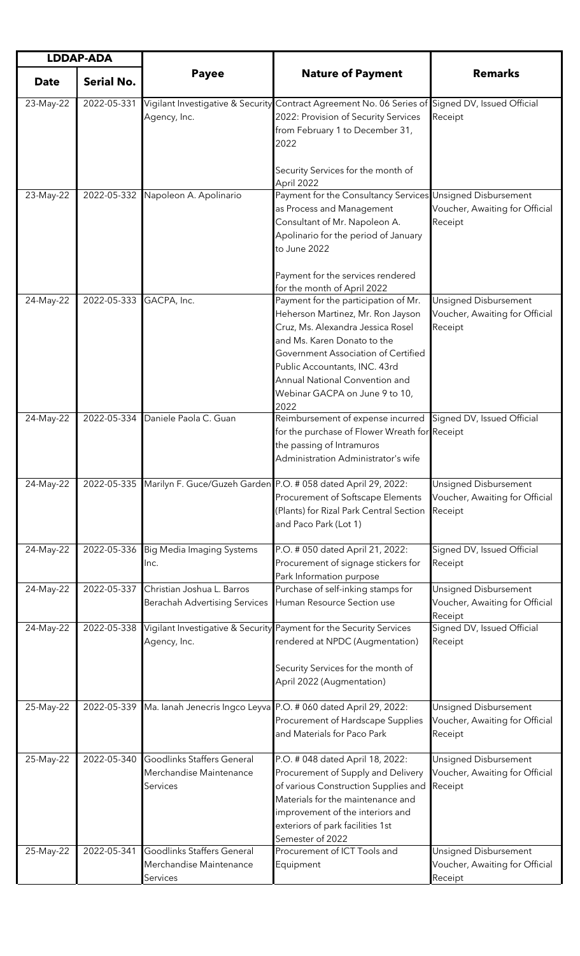| <b>LDDAP-ADA</b> |                   |                                                                          |                                                                                                                                                                                                                                                                                                   |                                                                           |
|------------------|-------------------|--------------------------------------------------------------------------|---------------------------------------------------------------------------------------------------------------------------------------------------------------------------------------------------------------------------------------------------------------------------------------------------|---------------------------------------------------------------------------|
| <b>Date</b>      | <b>Serial No.</b> | <b>Payee</b>                                                             | <b>Nature of Payment</b>                                                                                                                                                                                                                                                                          | <b>Remarks</b>                                                            |
| 23-May-22        | 2022-05-331       | Agency, Inc.                                                             | Vigilant Investigative & Security Contract Agreement No. 06 Series of Signed DV, Issued Official<br>2022: Provision of Security Services<br>from February 1 to December 31,<br>2022                                                                                                               | Receipt                                                                   |
|                  |                   |                                                                          | Security Services for the month of<br>April 2022                                                                                                                                                                                                                                                  |                                                                           |
| 23-May-22        | 2022-05-332       | Napoleon A. Apolinario                                                   | Payment for the Consultancy Services Unsigned Disbursement<br>as Process and Management<br>Consultant of Mr. Napoleon A.<br>Apolinario for the period of January<br>to June 2022<br>Payment for the services rendered                                                                             | Voucher, Awaiting for Official<br>Receipt                                 |
|                  |                   |                                                                          | for the month of April 2022                                                                                                                                                                                                                                                                       |                                                                           |
| 24-May-22        | 2022-05-333       | GACPA, Inc.                                                              | Payment for the participation of Mr.<br>Heherson Martinez, Mr. Ron Jayson<br>Cruz, Ms. Alexandra Jessica Rosel<br>and Ms. Karen Donato to the<br>Government Association of Certified<br>Public Accountants, INC. 43rd<br>Annual National Convention and<br>Webinar GACPA on June 9 to 10,<br>2022 | <b>Unsigned Disbursement</b><br>Voucher, Awaiting for Official<br>Receipt |
| 24-May-22        | 2022-05-334       | Daniele Paola C. Guan                                                    | Reimbursement of expense incurred<br>for the purchase of Flower Wreath for Receipt<br>the passing of Intramuros<br>Administration Administrator's wife                                                                                                                                            | Signed DV, Issued Official                                                |
| 24-May-22        | 2022-05-335       |                                                                          | Marilyn F. Guce/Guzeh Garden P.O. # 058 dated April 29, 2022:<br>Procurement of Softscape Elements<br>(Plants) for Rizal Park Central Section<br>and Paco Park (Lot 1)                                                                                                                            | Unsigned Disbursement<br>Voucher, Awaiting for Official<br>Receipt        |
| 24-May-22        | 2022-05-336       | <b>Big Media Imaging Systems</b><br>Inc.                                 | P.O. # 050 dated April 21, 2022:<br>Procurement of signage stickers for<br>Park Information purpose                                                                                                                                                                                               | Signed DV, Issued Official<br>Receipt                                     |
| 24-May-22        | 2022-05-337       | Christian Joshua L. Barros<br><b>Berachah Advertising Services</b>       | Purchase of self-inking stamps for<br>Human Resource Section use                                                                                                                                                                                                                                  | Unsigned Disbursement<br>Voucher, Awaiting for Official<br>Receipt        |
| 24-May-22        | 2022-05-338       | Agency, Inc.                                                             | Vigilant Investigative & Security Payment for the Security Services<br>rendered at NPDC (Augmentation)<br>Security Services for the month of<br>April 2022 (Augmentation)                                                                                                                         | Signed DV, Issued Official<br>Receipt                                     |
| 25-May-22        | 2022-05-339       |                                                                          | Ma. lanah Jenecris Ingco Leyva P.O. # 060 dated April 29, 2022:<br>Procurement of Hardscape Supplies<br>and Materials for Paco Park                                                                                                                                                               | Unsigned Disbursement<br>Voucher, Awaiting for Official<br>Receipt        |
| 25-May-22        | 2022-05-340       | <b>Goodlinks Staffers General</b><br>Merchandise Maintenance<br>Services | P.O. # 048 dated April 18, 2022:<br>Procurement of Supply and Delivery<br>of various Construction Supplies and<br>Materials for the maintenance and<br>improvement of the interiors and<br>exteriors of park facilities 1st<br>Semester of 2022                                                   | Unsigned Disbursement<br>Voucher, Awaiting for Official<br>Receipt        |
| 25-May-22        | 2022-05-341       | Goodlinks Staffers General<br>Merchandise Maintenance<br>Services        | Procurement of ICT Tools and<br>Equipment                                                                                                                                                                                                                                                         | Unsigned Disbursement<br>Voucher, Awaiting for Official<br>Receipt        |